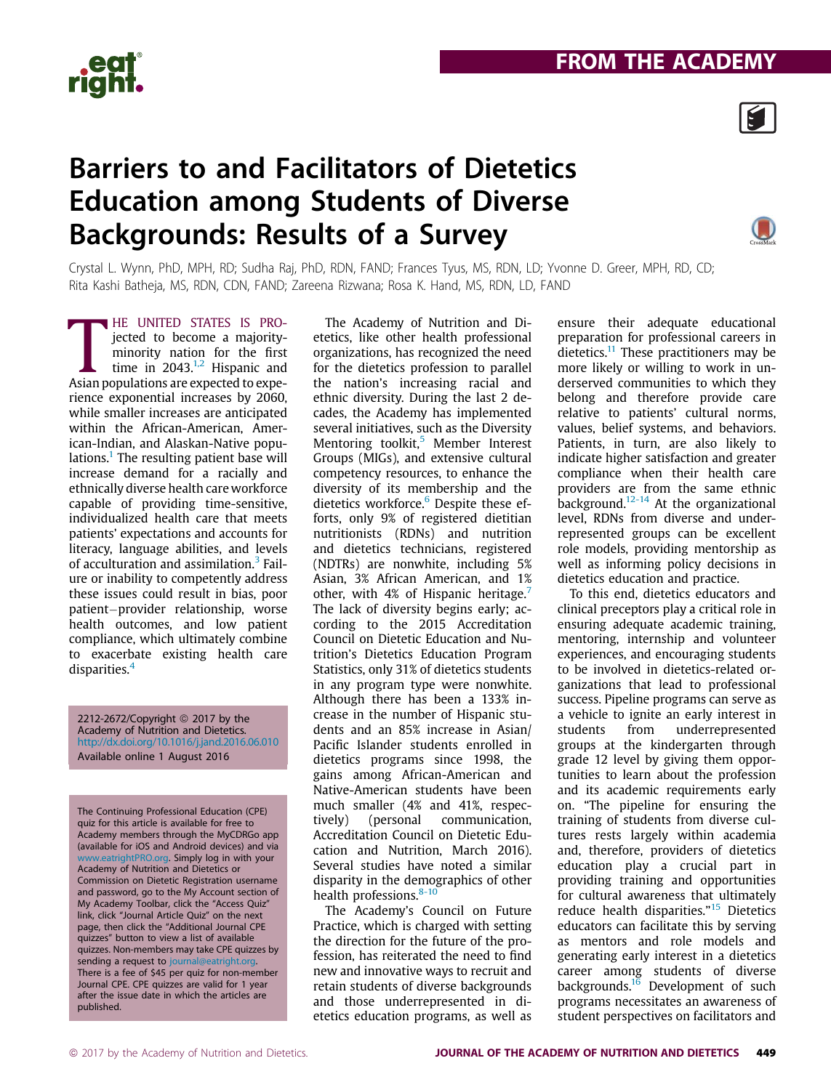Crystal L. Wynn, PhD, MPH, RD; Sudha Raj, PhD, RDN, FAND; Frances Tyus, MS, RDN, LD; Yvonne D. Greer, MPH, RD, CD; Rita Kashi Batheja, MS, RDN, CDN, FAND; Zareena Rizwana; Rosa K. Hand, MS, RDN, LD, FAND

Barriers to and Facilitators of Dietetics

Education among Students of Diverse

Backgrounds: Results of a Survey

HE UNITED STATES IS PRO-<br>jected to become a majority-<br>minority nation for the first<br>time in 2043.<sup>1,2</sup> Hispanic and<br>Asian populations are expected to expe-HE UNITED STATES IS PROjected to become a majorityminority nation for the first time in  $2043^{1,2}$  Hispanic and rience exponential increases by 2060, while smaller increases are anticipated within the African-American, American-Indian, and Alaskan-Native popu-lations.<sup>[1](#page-18-0)</sup> The resulting patient base will increase demand for a racially and ethnically diverse health care workforce capable of providing time-sensitive, individualized health care that meets patients' expectations and accounts for literacy, language abilities, and levels of acculturation and assimilation.<sup>[3](#page-18-0)</sup> Failure or inability to competently address these issues could result in bias, poor patient-provider relationship, worse health outcomes, and low patient compliance, which ultimately combine to exacerbate existing health care disparities.[4](#page-18-0)

2212-2672/Copyright © 2017 by the Academy of Nutrition and Dietetics. <http://dx.doi.org/10.1016/j.jand.2016.06.010> Available online 1 August 2016

The Continuing Professional Education (CPE) quiz for this article is available for free to Academy members through the MyCDRGo app (available for iOS and Android devices) and via w.eatrightPRO.org. Simply log in with your Academy of Nutrition and Dietetics or Commission on Dietetic Registration username and password, go to the My Account section of My Academy Toolbar, click the "Access Quiz" link, click "Journal Article Quiz" on the next page, then click the "Additional Journal CPE .<br>quizzes" button to view a list of available quizzes. Non-members may take CPE quizzes by sending a request to [journal@eatright.org](mailto:journal@eatright.org). There is a fee of \$45 per quiz for non-member Journal CPE. CPE quizzes are valid for 1 year after the issue date in which the articles are published.

The Academy of Nutrition and Dietetics, like other health professional organizations, has recognized the need for the dietetics profession to parallel the nation's increasing racial and ethnic diversity. During the last 2 decades, the Academy has implemented several initiatives, such as the Diversity Mentoring toolkit,<sup>[5](#page-18-0)</sup> Member Interest Groups (MIGs), and extensive cultural competency resources, to enhance the diversity of its membership and the dietetics workforce.<sup>6</sup> Despite these efforts, only 9% of registered dietitian nutritionists (RDNs) and nutrition and dietetics technicians, registered (NDTRs) are nonwhite, including 5% Asian, 3% African American, and 1% other, with 4% of Hispanic heritage.<sup>7</sup> The lack of diversity begins early; according to the 2015 Accreditation Council on Dietetic Education and Nutrition's Dietetics Education Program Statistics, only 31% of dietetics students in any program type were nonwhite. Although there has been a 133% increase in the number of Hispanic students and an 85% increase in Asian/ Pacific Islander students enrolled in dietetics programs since 1998, the gains among African-American and Native-American students have been much smaller (4% and 41%, respectively) (personal communication, Accreditation Council on Dietetic Education and Nutrition, March 2016). Several studies have noted a similar disparity in the demographics of other health professions. $8-10$ 

The Academy's Council on Future Practice, which is charged with setting the direction for the future of the profession, has reiterated the need to find new and innovative ways to recruit and retain students of diverse backgrounds and those underrepresented in dietetics education programs, as well as

ensure their adequate educational preparation for professional careers in dietetics. $11$  These practitioners may be more likely or willing to work in underserved communities to which they belong and therefore provide care relative to patients' cultural norms, values, belief systems, and behaviors. Patients, in turn, are also likely to indicate higher satisfaction and greater compliance when their health care providers are from the same ethnic background. $12-14$  At the organizational level, RDNs from diverse and underrepresented groups can be excellent role models, providing mentorship as well as informing policy decisions in dietetics education and practice.

To this end, dietetics educators and clinical preceptors play a critical role in ensuring adequate academic training, mentoring, internship and volunteer experiences, and encouraging students to be involved in dietetics-related organizations that lead to professional success. Pipeline programs can serve as a vehicle to ignite an early interest in students from underrepresented groups at the kindergarten through grade 12 level by giving them opportunities to learn about the profession and its academic requirements early on. "The pipeline for ensuring the training of students from diverse cultures rests largely within academia and, therefore, providers of dietetics education play a crucial part in providing training and opportunities for cultural awareness that ultimately reduce health disparities."<sup>[15](#page-19-0)</sup> Dietetics educators can facilitate this by serving as mentors and role models and generating early interest in a dietetics career among students of diverse backgrounds.<sup>[16](#page-19-0)</sup> Development of such programs necessitates an awareness of student perspectives on facilitators and



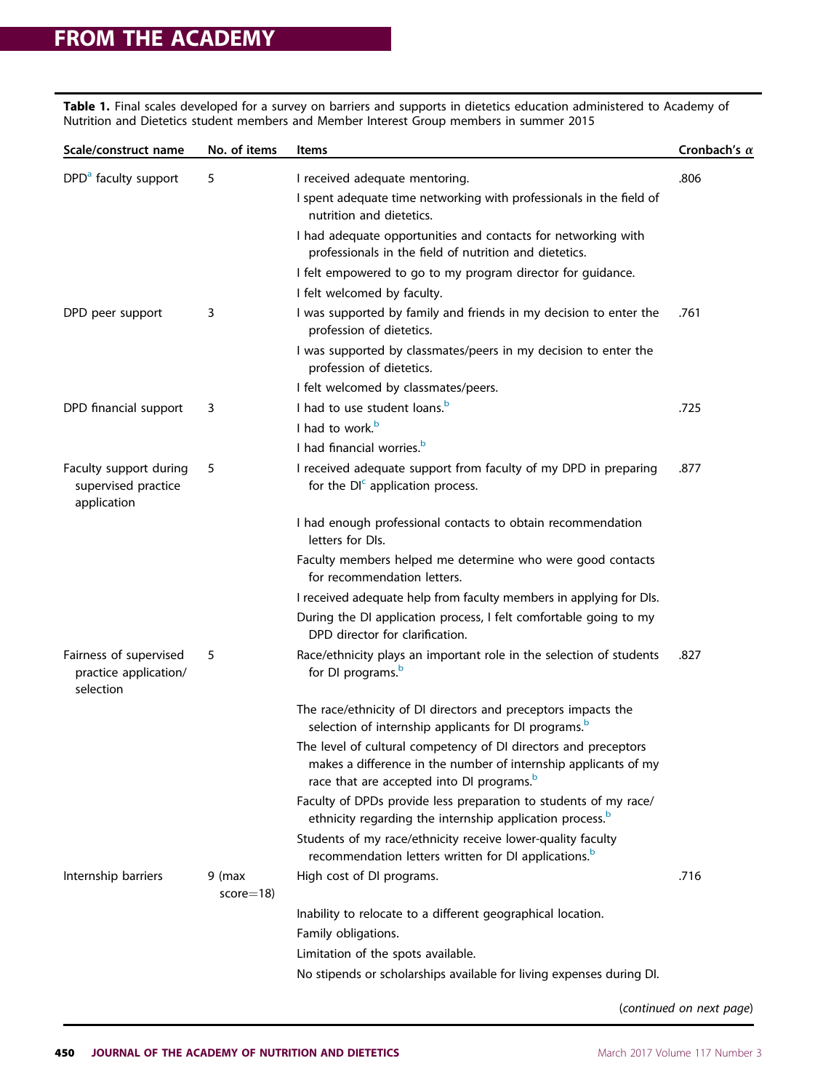<span id="page-1-0"></span>Table 1. Final scales developed for a survey on barriers and supports in dietetics education administered to Academy of Nutrition and Dietetics student members and Member Interest Group members in summer 2015

| Scale/construct name                                         | No. of items             | Items                                                                                                                                                                                       | Cronbach's $\alpha$      |
|--------------------------------------------------------------|--------------------------|---------------------------------------------------------------------------------------------------------------------------------------------------------------------------------------------|--------------------------|
| DPD <sup>a</sup> faculty support                             | 5                        | I received adequate mentoring.                                                                                                                                                              | .806                     |
|                                                              |                          | I spent adequate time networking with professionals in the field of<br>nutrition and dietetics.                                                                                             |                          |
|                                                              |                          | I had adequate opportunities and contacts for networking with<br>professionals in the field of nutrition and dietetics.                                                                     |                          |
|                                                              |                          | I felt empowered to go to my program director for guidance.                                                                                                                                 |                          |
|                                                              |                          | I felt welcomed by faculty.                                                                                                                                                                 |                          |
| DPD peer support                                             | 3                        | I was supported by family and friends in my decision to enter the<br>profession of dietetics.                                                                                               | .761                     |
|                                                              |                          | I was supported by classmates/peers in my decision to enter the<br>profession of dietetics.                                                                                                 |                          |
|                                                              |                          | I felt welcomed by classmates/peers.                                                                                                                                                        |                          |
| DPD financial support                                        | 3                        | I had to use student loans. <sup>b</sup>                                                                                                                                                    | .725                     |
|                                                              |                          | I had to work. <sup>b</sup>                                                                                                                                                                 |                          |
|                                                              |                          | I had financial worries. <sup>b</sup>                                                                                                                                                       |                          |
| Faculty support during<br>supervised practice<br>application | 5                        | I received adequate support from faculty of my DPD in preparing<br>for the DI <sup>c</sup> application process.                                                                             | .877                     |
|                                                              |                          | I had enough professional contacts to obtain recommendation<br>letters for DIs.                                                                                                             |                          |
|                                                              |                          | Faculty members helped me determine who were good contacts<br>for recommendation letters.                                                                                                   |                          |
|                                                              |                          | I received adequate help from faculty members in applying for DIs.                                                                                                                          |                          |
|                                                              |                          | During the DI application process, I felt comfortable going to my<br>DPD director for clarification.                                                                                        |                          |
| Fairness of supervised<br>practice application/<br>selection | 5                        | Race/ethnicity plays an important role in the selection of students<br>for DI programs. <sup>b</sup>                                                                                        | .827                     |
|                                                              |                          | The race/ethnicity of DI directors and preceptors impacts the<br>selection of internship applicants for DI programs. <sup>b</sup>                                                           |                          |
|                                                              |                          | The level of cultural competency of DI directors and preceptors<br>makes a difference in the number of internship applicants of my<br>race that are accepted into DI programs. <sup>b</sup> |                          |
|                                                              |                          | Faculty of DPDs provide less preparation to students of my race/<br>ethnicity regarding the internship application process. <sup>b</sup>                                                    |                          |
|                                                              |                          | Students of my race/ethnicity receive lower-quality faculty<br>recommendation letters written for DI applications. <sup>b</sup>                                                             |                          |
| Internship barriers                                          | $9 \ (max$<br>$score=18$ | High cost of DI programs.                                                                                                                                                                   | .716                     |
|                                                              |                          | Inability to relocate to a different geographical location.                                                                                                                                 |                          |
|                                                              |                          | Family obligations.                                                                                                                                                                         |                          |
|                                                              |                          | Limitation of the spots available.                                                                                                                                                          |                          |
|                                                              |                          | No stipends or scholarships available for living expenses during DI.                                                                                                                        |                          |
|                                                              |                          |                                                                                                                                                                                             | (continued on next page) |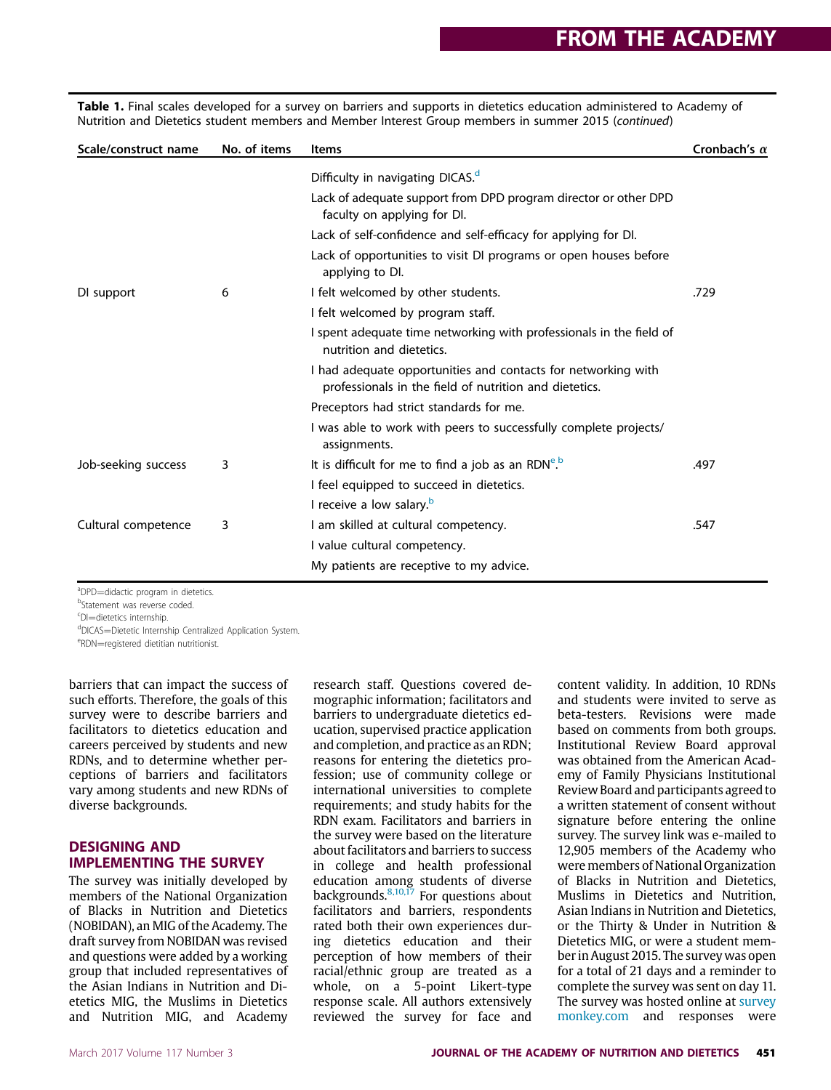<span id="page-2-0"></span>Table 1. Final scales developed for a survey on barriers and supports in dietetics education administered to Academy of Nutrition and Dietetics student members and Member Interest Group members in summer 2015 (continued)

| Scale/construct name | No. of items | <b>Items</b>                                                                                                            | Cronbach's $\alpha$ |
|----------------------|--------------|-------------------------------------------------------------------------------------------------------------------------|---------------------|
|                      |              | Difficulty in navigating DICAS. <sup>d</sup>                                                                            |                     |
|                      |              | Lack of adequate support from DPD program director or other DPD<br>faculty on applying for DI.                          |                     |
|                      |              | Lack of self-confidence and self-efficacy for applying for DI.                                                          |                     |
|                      |              | Lack of opportunities to visit DI programs or open houses before<br>applying to DI.                                     |                     |
| DI support           | 6            | I felt welcomed by other students.                                                                                      | .729                |
|                      |              | I felt welcomed by program staff.                                                                                       |                     |
|                      |              | I spent adequate time networking with professionals in the field of<br>nutrition and dietetics.                         |                     |
|                      |              | I had adequate opportunities and contacts for networking with<br>professionals in the field of nutrition and dietetics. |                     |
|                      |              | Preceptors had strict standards for me.                                                                                 |                     |
|                      |              | I was able to work with peers to successfully complete projects/<br>assignments.                                        |                     |
| Job-seeking success  | 3            | It is difficult for me to find a job as an RDN <sup>e,b</sup>                                                           | .497                |
|                      |              | I feel equipped to succeed in dietetics.                                                                                |                     |
|                      |              | I receive a low salary. <sup>b</sup>                                                                                    |                     |
| Cultural competence  | 3            | I am skilled at cultural competency.                                                                                    | .547                |
|                      |              | I value cultural competency.                                                                                            |                     |
|                      |              | My patients are receptive to my advice.                                                                                 |                     |
|                      |              |                                                                                                                         |                     |

<sup>a</sup>DPD=didactic program in dietetics.

bStatement was reverse coded.

<sup>c</sup>DI=dietetics internship. <sup>c</sup>DI=dietetics internship.<br><sup>d</sup>DICAS=Dietetic Interns

<sup>d</sup>DICAS=Dietetic Internship Centralized Application System.<br><sup>ep</sup>DN=registered distition putritionist

eRDN=registered dietitian nutritionist.

barriers that can impact the success of such efforts. Therefore, the goals of this survey were to describe barriers and facilitators to dietetics education and careers perceived by students and new RDNs, and to determine whether perceptions of barriers and facilitators vary among students and new RDNs of diverse backgrounds.

#### DESIGNING AND IMPLEMENTING THE SURVEY

The survey was initially developed by members of the National Organization of Blacks in Nutrition and Dietetics (NOBIDAN), an MIG of the Academy. The draft survey from NOBIDAN was revised and questions were added by a working group that included representatives of the Asian Indians in Nutrition and Dietetics MIG, the Muslims in Dietetics and Nutrition MIG, and Academy

research staff. Questions covered demographic information; facilitators and barriers to undergraduate dietetics education, supervised practice application and completion, and practice as an RDN; reasons for entering the dietetics profession; use of community college or international universities to complete requirements; and study habits for the RDN exam. Facilitators and barriers in the survey were based on the literature about facilitators and barriers to success in college and health professional education among students of diverse backgrounds.<sup>[8,10,17](#page-19-0)</sup> For questions about facilitators and barriers, respondents rated both their own experiences during dietetics education and their perception of how members of their racial/ethnic group are treated as a whole, on a 5-point Likert-type response scale. All authors extensively reviewed the survey for face and

content validity. In addition, 10 RDNs and students were invited to serve as beta-testers. Revisions were made based on comments from both groups. Institutional Review Board approval was obtained from the American Academy of Family Physicians Institutional Review Board and participants agreed to a written statement of consent without signature before entering the online survey. The survey link was e-mailed to 12,905 members of the Academy who were members of National Organization of Blacks in Nutrition and Dietetics, Muslims in Dietetics and Nutrition, Asian Indians in Nutrition and Dietetics, or the Thirty & Under in Nutrition & Dietetics MIG, or were a student member in August 2015. The survey was open for a total of 21 days and a reminder to complete the survey was sent on day 11. The [survey](http://surveymonkey.com) was hosted online at survey [monkey.com](http://surveymonkey.com) and responses were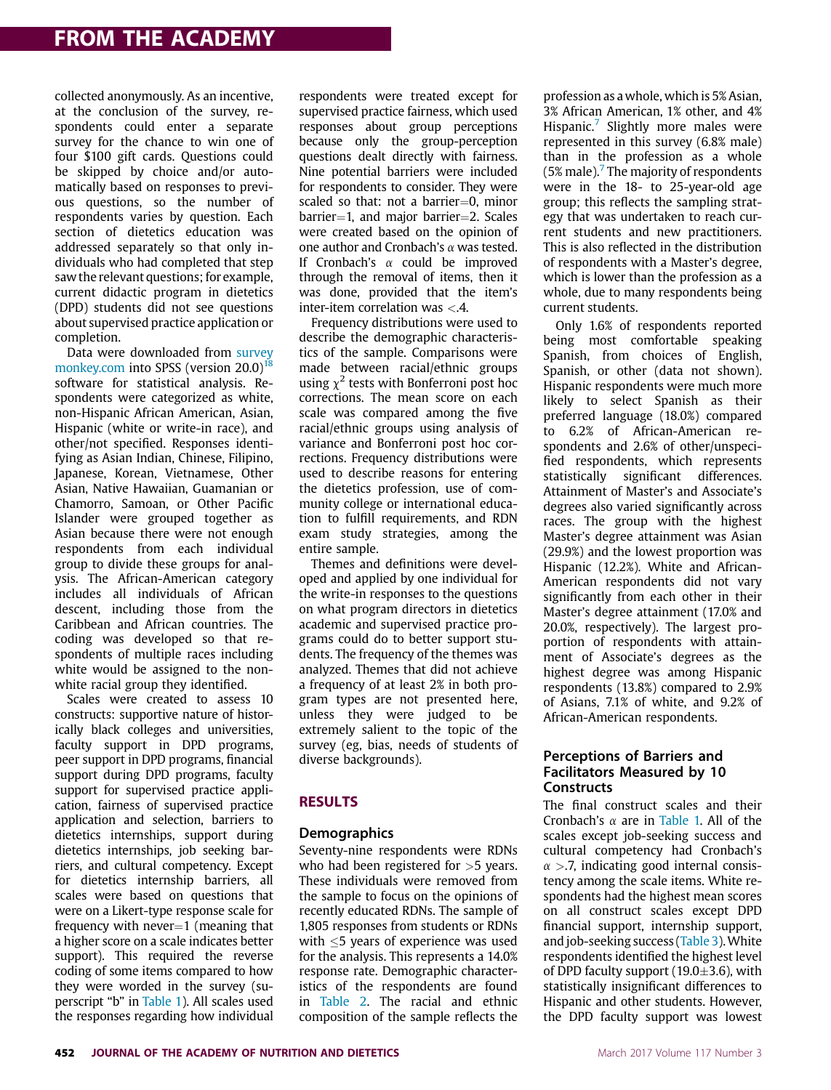collected anonymously. As an incentive, at the conclusion of the survey, respondents could enter a separate survey for the chance to win one of four \$100 gift cards. Questions could be skipped by choice and/or automatically based on responses to previous questions, so the number of respondents varies by question. Each section of dietetics education was addressed separately so that only individuals who had completed that step saw the relevant questions; for example, current didactic program in dietetics (DPD) students did not see questions about supervised practice application or completion.

Data were downloaded from [survey](http://surveymonkey.com) [monkey.com](http://surveymonkey.com) into SPSS (version  $20.0$ <sup>[18](#page-19-0)</sup> software for statistical analysis. Respondents were categorized as white, non-Hispanic African American, Asian, Hispanic (white or write-in race), and other/not specified. Responses identifying as Asian Indian, Chinese, Filipino, Japanese, Korean, Vietnamese, Other Asian, Native Hawaiian, Guamanian or Chamorro, Samoan, or Other Pacific Islander were grouped together as Asian because there were not enough respondents from each individual group to divide these groups for analysis. The African-American category includes all individuals of African descent, including those from the Caribbean and African countries. The coding was developed so that respondents of multiple races including white would be assigned to the nonwhite racial group they identified.

Scales were created to assess 10 constructs: supportive nature of historically black colleges and universities, faculty support in DPD programs, peer support in DPD programs, financial support during DPD programs, faculty support for supervised practice application, fairness of supervised practice application and selection, barriers to dietetics internships, support during dietetics internships, job seeking barriers, and cultural competency. Except for dietetics internship barriers, all scales were based on questions that were on a Likert-type response scale for frequency with never $=1$  (meaning that a higher score on a scale indicates better support). This required the reverse coding of some items compared to how they were worded in the survey (superscript "b" in [Table 1](#page-1-0)). All scales used the responses regarding how individual

respondents were treated except for supervised practice fairness, which used responses about group perceptions because only the group-perception questions dealt directly with fairness. Nine potential barriers were included for respondents to consider. They were scaled so that: not a barrier=0, minor  $barrier=1$ , and major barrier $=2$ . Scales were created based on the opinion of one author and Cronbach's  $\alpha$  was tested. If Cronbach's  $\alpha$  could be improved through the removal of items, then it was done, provided that the item's inter-item correlation was <.4.

Frequency distributions were used to describe the demographic characteristics of the sample. Comparisons were made between racial/ethnic groups using  $\chi^2$  tests with Bonferroni post hoc corrections. The mean score on each scale was compared among the five racial/ethnic groups using analysis of variance and Bonferroni post hoc corrections. Frequency distributions were used to describe reasons for entering the dietetics profession, use of community college or international education to fulfill requirements, and RDN exam study strategies, among the entire sample.

Themes and definitions were developed and applied by one individual for the write-in responses to the questions on what program directors in dietetics academic and supervised practice programs could do to better support students. The frequency of the themes was analyzed. Themes that did not achieve a frequency of at least 2% in both program types are not presented here, unless they were judged to be extremely salient to the topic of the survey (eg, bias, needs of students of diverse backgrounds).

### **RESULTS**

### **Demographics**

Seventy-nine respondents were RDNs who had been registered for >5 years. These individuals were removed from the sample to focus on the opinions of recently educated RDNs. The sample of 1,805 responses from students or RDNs with  $<$ 5 years of experience was used for the analysis. This represents a 14.0% response rate. Demographic characteristics of the respondents are found in [Table 2](#page-4-0). The racial and ethnic composition of the sample reflects the profession as a whole, which is 5% Asian, 3% African American, 1% other, and 4% Hispanic.<sup>[7](#page-19-0)</sup> Slightly more males were represented in this survey (6.8% male) than in the profession as a whole  $(5\%$  male).<sup>[7](#page-19-0)</sup> The majority of respondents were in the 18- to 25-year-old age group; this reflects the sampling strategy that was undertaken to reach current students and new practitioners. This is also reflected in the distribution of respondents with a Master's degree, which is lower than the profession as a whole, due to many respondents being current students.

Only 1.6% of respondents reported being most comfortable speaking Spanish, from choices of English, Spanish, or other (data not shown). Hispanic respondents were much more likely to select Spanish as their preferred language (18.0%) compared to 6.2% of African-American respondents and 2.6% of other/unspecified respondents, which represents statistically significant differences. Attainment of Master's and Associate's degrees also varied significantly across races. The group with the highest Master's degree attainment was Asian (29.9%) and the lowest proportion was Hispanic (12.2%). White and African-American respondents did not vary significantly from each other in their Master's degree attainment (17.0% and 20.0%, respectively). The largest proportion of respondents with attainment of Associate's degrees as the highest degree was among Hispanic respondents (13.8%) compared to 2.9% of Asians, 7.1% of white, and 9.2% of African-American respondents.

#### Perceptions of Barriers and Facilitators Measured by 10 **Constructs**

The final construct scales and their Cronbach's  $\alpha$  are in [Table 1.](#page-1-0) All of the scales except job-seeking success and cultural competency had Cronbach's  $\alpha$  >.7, indicating good internal consistency among the scale items. White respondents had the highest mean scores on all construct scales except DPD financial support, internship support, and job-seeking success ([Table 3](#page-7-0)).White respondents identified the highest level of DPD faculty support ( $19.0\pm3.6$ ), with statistically insignificant differences to Hispanic and other students. However, the DPD faculty support was lowest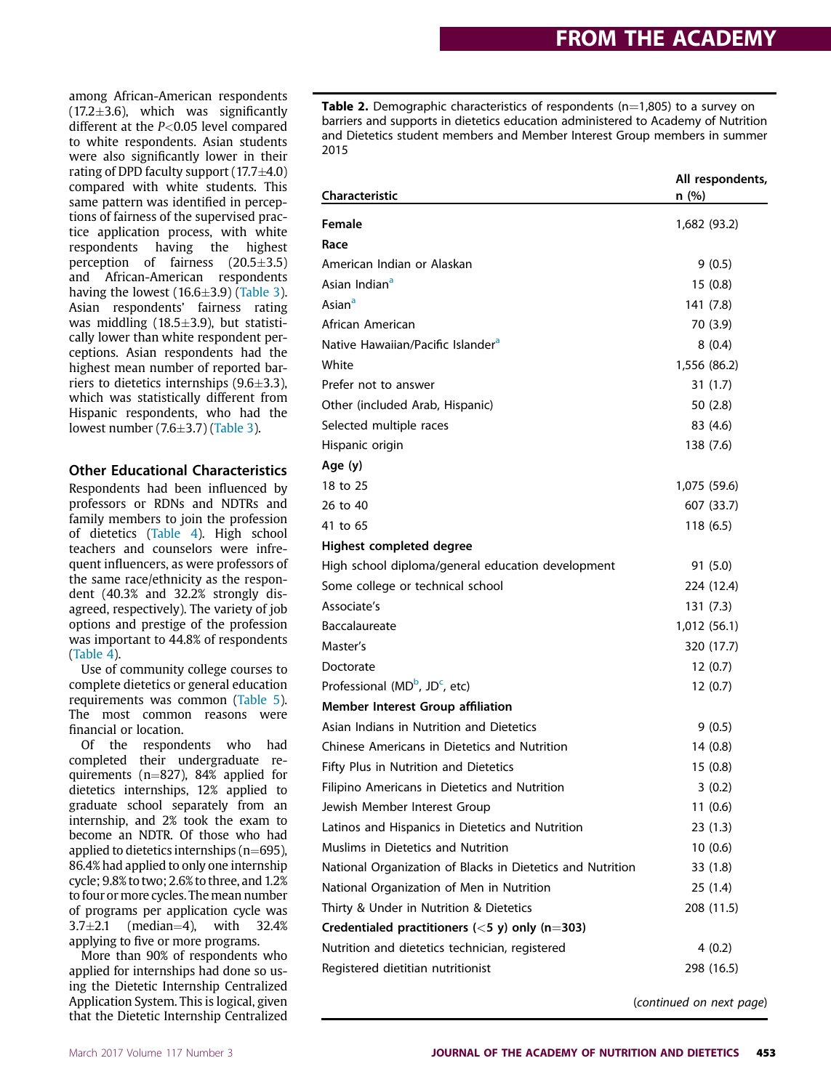<span id="page-4-0"></span>among African-American respondents  $(17.2 \pm 3.6)$ , which was significantly different at the  $P<0.05$  level compared to white respondents. Asian students were also significantly lower in their rating of DPD faculty support  $(17.7\pm4.0)$ compared with white students. This same pattern was identified in perceptions of fairness of the supervised practice application process, with white respondents having the highest perception of fairness  $(20.5\pm3.5)$ and African-American respondents having the lowest  $(16.6\pm3.9)$  [\(Table 3](#page-7-0)). Asian respondents' fairness rating was middling  $(18.5 \pm 3.9)$ , but statistically lower than white respondent perceptions. Asian respondents had the highest mean number of reported barriers to dietetics internships  $(9.6 \pm 3.3)$ , which was statistically different from Hispanic respondents, who had the lowest number  $(7.6\pm3.7)$  ([Table 3\)](#page-7-0).

### Other Educational Characteristics

Respondents had been influenced by professors or RDNs and NDTRs and family members to join the profession of dietetics ([Table 4](#page-8-0)). High school teachers and counselors were infrequent influencers, as were professors of the same race/ethnicity as the respondent (40.3% and 32.2% strongly disagreed, respectively). The variety of job options and prestige of the profession was important to 44.8% of respondents ([Table 4\)](#page-8-0).

Use of community college courses to complete dietetics or general education requirements was common ([Table 5](#page-8-0)). The most common reasons were financial or location.

Of the respondents who had completed their undergraduate requirements ( $n=827$ ), 84% applied for dietetics internships, 12% applied to graduate school separately from an internship, and 2% took the exam to become an NDTR. Of those who had applied to dietetics internships  $(n=695)$ , 86.4% had applied to only one internship cycle; 9.8% to two; 2.6% to three, and 1.2% to four or more cycles. The mean number of programs per application cycle was  $3.7 \pm 2.1$  (median=4), with 32.4% applying to five or more programs.

More than 90% of respondents who applied for internships had done so using the Dietetic Internship Centralized Application System. This is logical, given that the Dietetic Internship Centralized

**Table 2.** Demographic characteristics of respondents ( $n=1,805$ ) to a survey on barriers and supports in dietetics education administered to Academy of Nutrition and Dietetics student members and Member Interest Group members in summer 2015

| <b>Characteristic</b>                                      | All respondents,<br>n(%) |
|------------------------------------------------------------|--------------------------|
| Female                                                     | 1,682 (93.2)             |
| Race                                                       |                          |
| American Indian or Alaskan                                 | 9(0.5)                   |
| Asian Indian <sup>a</sup>                                  | 15(0.8)                  |
| Asian <sup>a</sup>                                         | 141 (7.8)                |
| African American                                           | 70 (3.9)                 |
| Native Hawaiian/Pacific Islander <sup>a</sup>              | 8(0.4)                   |
| White                                                      | 1,556 (86.2)             |
| Prefer not to answer                                       | 31(1.7)                  |
| Other (included Arab, Hispanic)                            | 50 (2.8)                 |
| Selected multiple races                                    | 83 (4.6)                 |
| Hispanic origin                                            | 138 (7.6)                |
| Age (y)                                                    |                          |
| 18 to 25                                                   | 1,075 (59.6)             |
| 26 to 40                                                   | 607 (33.7)               |
| 41 to 65                                                   | 118 (6.5)                |
| Highest completed degree                                   |                          |
| High school diploma/general education development          | 91 (5.0)                 |
| Some college or technical school                           | 224 (12.4)               |
| Associate's                                                | 131 (7.3)                |
| Baccalaureate                                              | 1,012 (56.1)             |
| Master's                                                   | 320 (17.7)               |
| Doctorate                                                  | 12(0.7)                  |
| Professional ( $MD^b$ , JD <sup>c</sup> , etc)             | 12(0.7)                  |
| Member Interest Group affiliation                          |                          |
| Asian Indians in Nutrition and Dietetics                   | 9(0.5)                   |
| Chinese Americans in Dietetics and Nutrition               | 14(0.8)                  |
| Fifty Plus in Nutrition and Dietetics                      | 15(0.8)                  |
| Filipino Americans in Dietetics and Nutrition              | 3(0.2)                   |
| Jewish Member Interest Group                               | 11(0.6)                  |
| Latinos and Hispanics in Dietetics and Nutrition           | 23(1.3)                  |
| Muslims in Dietetics and Nutrition                         | 10(0.6)                  |
| National Organization of Blacks in Dietetics and Nutrition | 33 (1.8)                 |
| National Organization of Men in Nutrition                  | 25 (1.4)                 |
| Thirty & Under in Nutrition & Dietetics                    | 208 (11.5)               |
| Credentialed practitioners (<5 y) only (n=303)             |                          |
| Nutrition and dietetics technician, registered             | 4(0.2)                   |
| Registered dietitian nutritionist                          | 298 (16.5)               |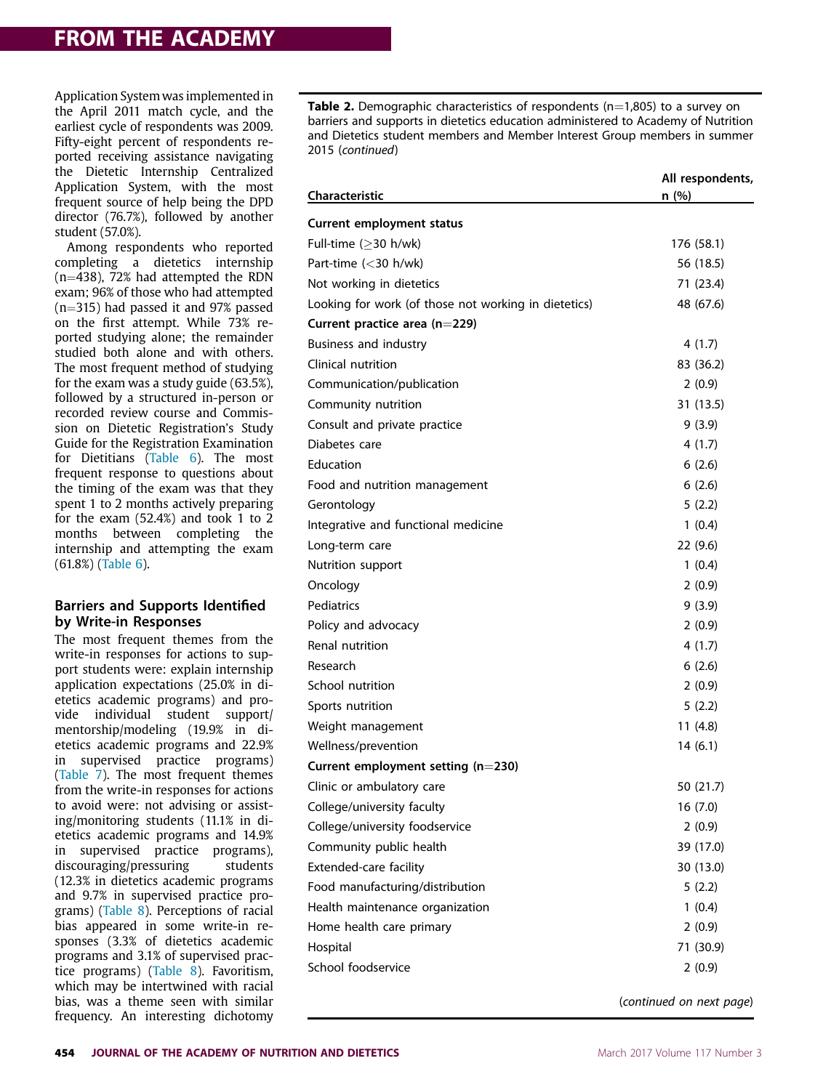# FROM THE ACADEMY

Application System was implemented in the April 2011 match cycle, and the earliest cycle of respondents was 2009. Fifty-eight percent of respondents reported receiving assistance navigating the Dietetic Internship Centralized Application System, with the most frequent source of help being the DPD director (76.7%), followed by another student (57.0%).

Among respondents who reported completing a dietetics internship  $(n=438)$ , 72% had attempted the RDN exam; 96% of those who had attempted  $(n=315)$  had passed it and 97% passed on the first attempt. While 73% reported studying alone; the remainder studied both alone and with others. The most frequent method of studying for the exam was a study guide (63.5%), followed by a structured in-person or recorded review course and Commission on Dietetic Registration's Study Guide for the Registration Examination for Dietitians ([Table 6](#page-9-0)). The most frequent response to questions about the timing of the exam was that they spent 1 to 2 months actively preparing for the exam (52.4%) and took 1 to 2 months between completing the internship and attempting the exam (61.8%) ([Table 6\)](#page-9-0).

#### Barriers and Supports Identified by Write-in Responses

The most frequent themes from the write-in responses for actions to support students were: explain internship application expectations (25.0% in dietetics academic programs) and provide individual student support/ mentorship/modeling (19.9% in dietetics academic programs and 22.9% in supervised practice programs) [\(Table 7\)](#page-10-0). The most frequent themes from the write-in responses for actions to avoid were: not advising or assisting/monitoring students (11.1% in dietetics academic programs and 14.9% in supervised practice programs), discouraging/pressuring students (12.3% in dietetics academic programs and 9.7% in supervised practice programs) [\(Table 8](#page-14-0)). Perceptions of racial bias appeared in some write-in responses (3.3% of dietetics academic programs and 3.1% of supervised practice programs) ([Table 8\)](#page-14-0). Favoritism, which may be intertwined with racial bias, was a theme seen with similar frequency. An interesting dichotomy

**Table 2.** Demographic characteristics of respondents ( $n=1,805$ ) to a survey on barriers and supports in dietetics education administered to Academy of Nutrition and Dietetics student members and Member Interest Group members in summer 2015 (continued)

| <b>Characteristic</b>                                | All respondents,<br>n(%) |
|------------------------------------------------------|--------------------------|
| Current employment status                            |                          |
| Full-time $(\geq)30$ h/wk)                           | 176 (58.1)               |
| Part-time $(<$ 30 h/wk)                              | 56 (18.5)                |
| Not working in dietetics                             | 71 (23.4)                |
| Looking for work (of those not working in dietetics) | 48 (67.6)                |
| Current practice area $(n=229)$                      |                          |
| Business and industry                                | 4 (1.7)                  |
| Clinical nutrition                                   | 83 (36.2)                |
| Communication/publication                            | 2(0.9)                   |
| Community nutrition                                  | 31 (13.5)                |
| Consult and private practice                         | 9(3.9)                   |
| Diabetes care                                        | 4(1.7)                   |
| Education                                            | 6(2.6)                   |
| Food and nutrition management                        | 6(2.6)                   |
| Gerontology                                          | 5(2.2)                   |
| Integrative and functional medicine                  | 1(0.4)                   |
| Long-term care                                       | 22 (9.6)                 |
| Nutrition support                                    | 1(0.4)                   |
| Oncology                                             | 2(0.9)                   |
| Pediatrics                                           | 9(3.9)                   |
| Policy and advocacy                                  | 2(0.9)                   |
| Renal nutrition                                      | 4(1.7)                   |
| Research                                             | 6(2.6)                   |
| School nutrition                                     | 2(0.9)                   |
| Sports nutrition                                     | 5(2.2)                   |
| Weight management                                    | 11(4.8)                  |
| Wellness/prevention                                  | 14(6.1)                  |
| Current employment setting $(n=230)$                 |                          |
| Clinic or ambulatory care                            | 50 (21.7)                |
| College/university faculty                           | 16 (7.0)                 |
| College/university foodservice                       | 2(0.9)                   |
| Community public health                              | 39 (17.0)                |
| Extended-care facility                               | 30 (13.0)                |
| Food manufacturing/distribution                      | 5(2.2)                   |
| Health maintenance organization                      | 1(0.4)                   |
| Home health care primary                             | 2(0.9)                   |
| Hospital                                             | 71 (30.9)                |
| School foodservice                                   | 2(0.9)                   |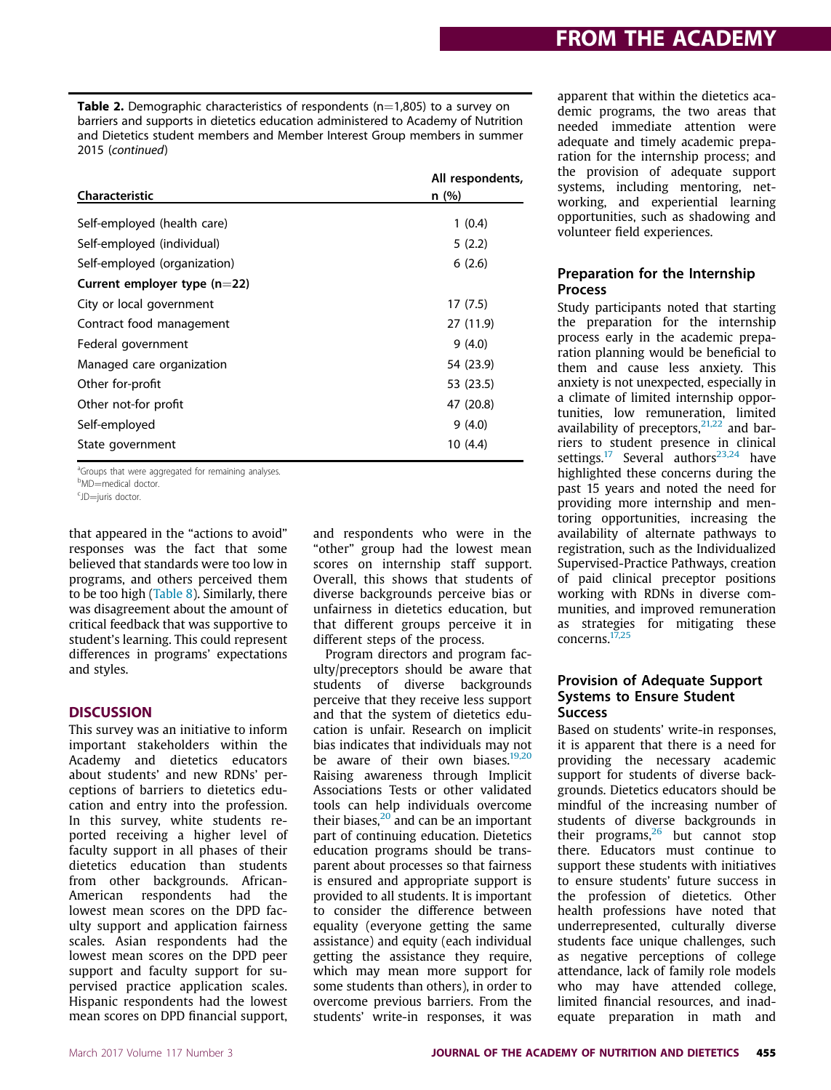<span id="page-6-0"></span>**Table 2.** Demographic characteristics of respondents ( $n=1,805$ ) to a survey on barriers and supports in dietetics education administered to Academy of Nutrition and Dietetics student members and Member Interest Group members in summer 2015 (continued)

| Characteristic                 | All respondents,<br>n(%) |
|--------------------------------|--------------------------|
|                                |                          |
| Self-employed (health care)    | 1(0.4)                   |
| Self-employed (individual)     | 5(2.2)                   |
| Self-employed (organization)   | 6(2.6)                   |
| Current employer type $(n=22)$ |                          |
| City or local government       | 17(7.5)                  |
| Contract food management       | 27 (11.9)                |
| Federal government             | 9(4.0)                   |
| Managed care organization      | 54 (23.9)                |
| Other for-profit               | 53 (23.5)                |
| Other not-for profit           | 47 (20.8)                |
| Self-employed                  | 9(4.0)                   |
| State government               | 10 (4.4)                 |

<sup>a</sup>Groups that were aggregated for remaining analyses.

b<br>MD=medical doctor.<br><sup>c</sup>ID=iuris doctor.

<sup>c</sup>JD=juris doctor.

that appeared in the "actions to avoid" responses was the fact that some believed that standards were too low in programs, and others perceived them to be too high [\(Table 8\)](#page-14-0). Similarly, there was disagreement about the amount of critical feedback that was supportive to student's learning. This could represent differences in programs' expectations and styles.

#### **DISCUSSION**

This survey was an initiative to inform important stakeholders within the Academy and dietetics educators about students' and new RDNs' perceptions of barriers to dietetics education and entry into the profession. In this survey, white students reported receiving a higher level of faculty support in all phases of their dietetics education than students from other backgrounds. African-American respondents had the lowest mean scores on the DPD faculty support and application fairness scales. Asian respondents had the lowest mean scores on the DPD peer support and faculty support for supervised practice application scales. Hispanic respondents had the lowest mean scores on DPD financial support, and respondents who were in the "other" group had the lowest mean scores on internship staff support. Overall, this shows that students of diverse backgrounds perceive bias or unfairness in dietetics education, but that different groups perceive it in different steps of the process.

Program directors and program faculty/preceptors should be aware that students of diverse backgrounds perceive that they receive less support and that the system of dietetics education is unfair. Research on implicit bias indicates that individuals may not be aware of their own biases. $19,20$ Raising awareness through Implicit Associations Tests or other validated tools can help individuals overcome their biases, $20$  and can be an important part of continuing education. Dietetics education programs should be transparent about processes so that fairness is ensured and appropriate support is provided to all students. It is important to consider the difference between equality (everyone getting the same assistance) and equity (each individual getting the assistance they require, which may mean more support for some students than others), in order to overcome previous barriers. From the students' write-in responses, it was

apparent that within the dietetics academic programs, the two areas that needed immediate attention were adequate and timely academic preparation for the internship process; and the provision of adequate support systems, including mentoring, networking, and experiential learning opportunities, such as shadowing and volunteer field experiences.

#### Preparation for the Internship Process

Study participants noted that starting the preparation for the internship process early in the academic preparation planning would be beneficial to them and cause less anxiety. This anxiety is not unexpected, especially in a climate of limited internship opportunities, low remuneration, limited availability of preceptors, $21,22$  and barriers to student presence in clinical settings.<sup>[17](#page-19-0)</sup> Several authors<sup>[23,24](#page-19-0)</sup> have highlighted these concerns during the past 15 years and noted the need for providing more internship and mentoring opportunities, increasing the availability of alternate pathways to registration, such as the Individualized Supervised-Practice Pathways, creation of paid clinical preceptor positions working with RDNs in diverse communities, and improved remuneration as strategies for mitigating these concerns.[17,25](#page-19-0)

#### Provision of Adequate Support Systems to Ensure Student **Success**

Based on students' write-in responses, it is apparent that there is a need for providing the necessary academic support for students of diverse backgrounds. Dietetics educators should be mindful of the increasing number of students of diverse backgrounds in their programs, $26$  but cannot stop there. Educators must continue to support these students with initiatives to ensure students' future success in the profession of dietetics. Other health professions have noted that underrepresented, culturally diverse students face unique challenges, such as negative perceptions of college attendance, lack of family role models who may have attended college, limited financial resources, and inadequate preparation in math and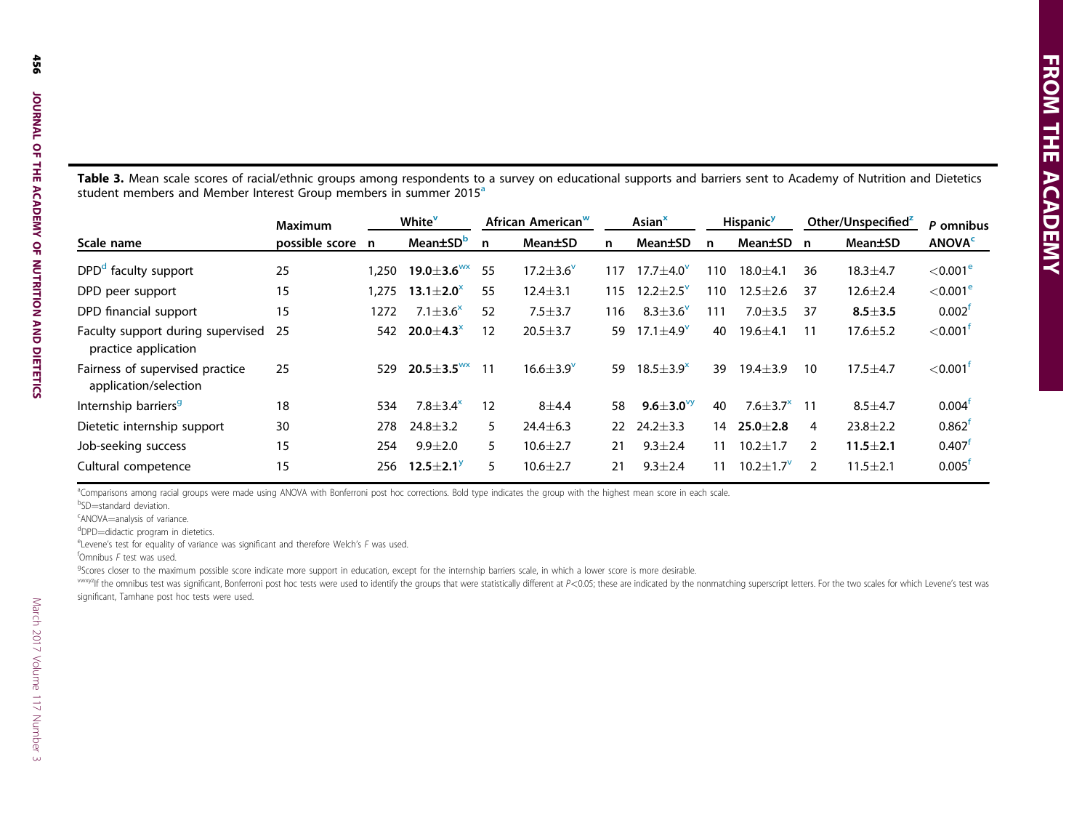<span id="page-7-0"></span>Table 3. Mean scale scores of racial/ethnic groups among respondents to a survey on educational supports and barriers sent to Academy of Nutrition and Dietetics student members and Member Interest Group members in summer 2015<sup>a</sup>

|                                                              | Maximum        |       | <b>White</b>                    |    | African American <sup>w</sup> |     | <b>Asian</b> <sup>x</sup>  |     | Hispanic <sup>y</sup>       |               | Other/Unspecified <sup>z</sup> | P omnibus                |
|--------------------------------------------------------------|----------------|-------|---------------------------------|----|-------------------------------|-----|----------------------------|-----|-----------------------------|---------------|--------------------------------|--------------------------|
| Scale name                                                   | possible score | n     | Mean±SD <sup>b</sup>            | n  | Mean±SD                       | n.  | Mean±SD                    | n   | Mean±SD                     | n             | Mean±SD                        | <b>ANOVA<sup>c</sup></b> |
| DPD <sup>d</sup> faculty support                             | 25             | 1.250 | 19.0 $\pm$ 3.6 $\mathrm{^{wx}}$ | 55 | $17.2 + 3.6$                  | 117 | $17.7 + 4.0^{\circ}$       | 110 | $18.0 + 4.1$                | 36            | $18.3 + 4.7$                   | $<$ 0.001 $^{\circ}$     |
| DPD peer support                                             | 15             | 1.275 | 13.1 $\pm$ 2.0 <sup>x</sup>     | 55 | $12.4 + 3.1$                  | 115 | $12.2 + 2.5$               | 110 | $12.5 + 2.6$                | -37           | $12.6 + 2.4$                   | $<$ 0.001 $^{\circ}$     |
| DPD financial support                                        | 15             | 1272  | 7.1 $\pm$ 3.6 <sup>x</sup>      | 52 | $7.5 + 3.7$                   | 116 | $8.3 \pm 3.6$ <sup>V</sup> | 111 | $7.0 + 3.5$                 | 37            | $8.5 \pm 3.5$                  | $0.002$ <sup>t</sup>     |
| Faculty support during supervised 25<br>practice application |                | 542   | $20.0 + 4.3^{x}$                | 12 | $20.5 \pm 3.7$                | 59  | $17.1 + 4.9$ <sup>V</sup>  | 40  | $19.6 \pm 4.1$              | 11            | $17.6 \pm 5.2$                 | $<$ 0.001 $^{\dagger}$   |
| Fairness of supervised practice<br>application/selection     | 25             | 529   | $20.5+3.5^{\text{wx}}$ 11       |    | $16.6 + 3.9$                  | 59  | $18.5 + 3.9^{\text{x}}$    | 39  | $19.4 + 3.9$                | 10            | $17.5 + 4.7$                   | $<$ 0.001 <sup>'</sup>   |
| Internship barriers <sup>9</sup>                             | 18             | 534   | $7.8 + 3.4^x$                   | 12 | $8 + 4.4$                     | 58  | 9.6 $\pm$ 3.0 $^{Vy}$      | 40  | $7.6 + 3.7x$ 11             |               | $8.5 + 4.7$                    | $0.004$ <sup>t</sup>     |
| Dietetic internship support                                  | 30             | 278   | $24.8 + 3.2$                    | 5  | $24.4 + 6.3$                  | 22  | $24.2 + 3.3$               |     | $14$ 25.0 + 2.8             | 4             | $23.8 + 2.2$                   | $0.862$ <sup>t</sup>     |
| Job-seeking success                                          | 15             | 254   | $9.9 \pm 2.0$                   | 5  | $10.6 + 2.7$                  | 21  | $9.3 \pm 2.4$              | 11  | $10.2 + 1.7$                | $\mathcal{P}$ | $11.5 \pm 2.1$                 | $0.407$ <sup>t</sup>     |
| Cultural competence                                          | 15             | 256   | $12.5 \pm 2.1$ <sup>y</sup>     | 5  | $10.6 + 2.7$                  | 21  | $9.3 \pm 2.4$              | 11  | $10.2 \pm 1.7$ <sup>V</sup> | $\mathcal{P}$ | $11.5 \pm 2.1$                 | $0.005$ <sup>t</sup>     |

<sup>a</sup>Comparisons among racial groups were made using ANOVA with Bonferroni post hoc corrections. Bold type indicates the group with the highest mean score in each scale.

bSD=standard deviation.

<sup>c</sup>ANOVA=analysis of variance.

dDPD=didactic program in dietetics.

 $e$ Levene's test for equality of variance was significant and therefore Welch's  $F$  was used.

fOmnibus F test was used.

<sup>g</sup>Scores closer to the maximum possible score indicate more support in education, except for the internship barriers scale, in which a lower score is more desirable.

www2if the omnibus test was significant, Bonferroni post hoc tests were used to identify the groups that were statistically different at P<0.05; these are indicated by the nonmatching superscript letters. For the two scale significant, Tamhane post hoc tests were used.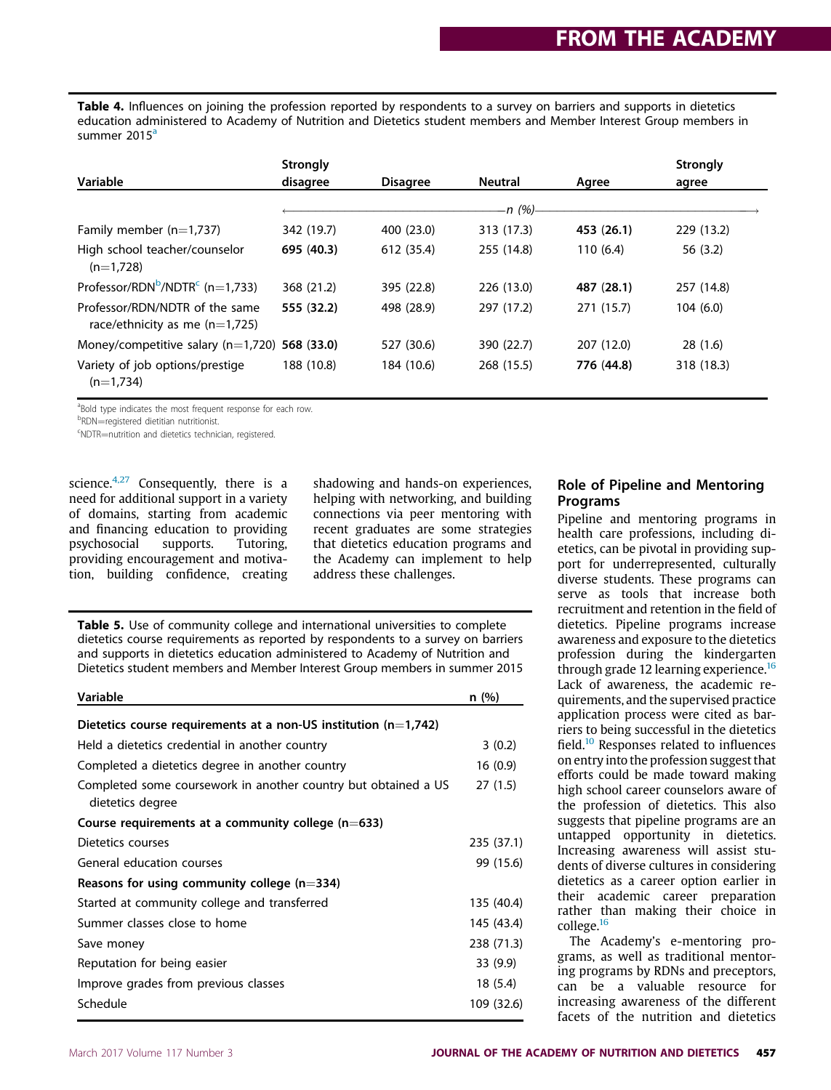<span id="page-8-0"></span>Table 4. Influences on joining the profession reported by respondents to a survey on barriers and supports in dietetics education administered to Academy of Nutrition and Dietetics student members and Member Interest Group members in summer 2015<sup>a</sup>

| summer 2015                                                        |                             |                 |            |            |                          |
|--------------------------------------------------------------------|-----------------------------|-----------------|------------|------------|--------------------------|
| Variable                                                           | <b>Strongly</b><br>disagree | <b>Disagree</b> | Neutral    | Agree      | <b>Strongly</b><br>agree |
|                                                                    |                             |                 | -n (%)-    |            |                          |
| Family member $(n=1,737)$                                          | 342 (19.7)                  | 400 (23.0)      | 313 (17.3) | 453 (26.1) | 229 (13.2)               |
| High school teacher/counselor<br>$(n=1,728)$                       | 695 (40.3)                  | 612 (35.4)      | 255 (14.8) | 110(6.4)   | 56(3.2)                  |
| Professor/RDN <sup>b</sup> /NDTR <sup>c</sup> (n=1,733)            | 368 (21.2)                  | 395 (22.8)      | 226 (13.0) | 487 (28.1) | 257 (14.8)               |
| Professor/RDN/NDTR of the same<br>race/ethnicity as me $(n=1,725)$ | 555 (32.2)                  | 498 (28.9)      | 297 (17.2) | 271 (15.7) | 104(6.0)                 |
| Money/competitive salary $(n=1,720)$ 568 (33.0)                    |                             | 527 (30.6)      | 390 (22.7) | 207 (12.0) | 28(1.6)                  |
| Variety of job options/prestige<br>$(n=1,734)$                     | 188 (10.8)                  | 184 (10.6)      | 268 (15.5) | 776 (44.8) | 318 (18.3)               |

<sup>a</sup>Bold type indicates the most frequent response for each row.

b<br>PNDN=registered dietitian nutritionist.<br>SNDTP=putrition and digtatics technic

<sup>c</sup>NDTR=nutrition and dietetics technician, registered.

science. $4,27$  Consequently, there is a need for additional support in a variety of domains, starting from academic and financing education to providing psychosocial supports. Tutoring, providing encouragement and motivation, building confidence, creating shadowing and hands-on experiences, helping with networking, and building connections via peer mentoring with recent graduates are some strategies that dietetics education programs and the Academy can implement to help address these challenges.

**Table 5.** Use of community college and international universities to complete dietetics course requirements as reported by respondents to a survey on barriers and supports in dietetics education administered to Academy of Nutrition and Dietetics student members and Member Interest Group members in summer 2015

| Variable                                                                           | n(%)       |
|------------------------------------------------------------------------------------|------------|
| Dietetics course requirements at a non-US institution $(n=1,742)$                  |            |
| Held a dietetics credential in another country                                     | 3(0.2)     |
| Completed a dietetics degree in another country                                    | 16(0.9)    |
| Completed some coursework in another country but obtained a US<br>dietetics degree | 27(1.5)    |
| Course requirements at a community college $(n=633)$                               |            |
| Dietetics courses                                                                  | 235 (37.1) |
| General education courses                                                          | 99 (15.6)  |
| Reasons for using community college $(n=334)$                                      |            |
| Started at community college and transferred                                       | 135 (40.4) |
| Summer classes close to home                                                       | 145 (43.4) |
| Save money                                                                         | 238 (71.3) |
| Reputation for being easier                                                        | 33 (9.9)   |
| Improve grades from previous classes                                               | 18(5.4)    |
| Schedule                                                                           | 109 (32.6) |

#### Role of Pipeline and Mentoring **Programs**

Pipeline and mentoring programs in health care professions, including dietetics, can be pivotal in providing support for underrepresented, culturally diverse students. These programs can serve as tools that increase both recruitment and retention in the field of dietetics. Pipeline programs increase awareness and exposure to the dietetics profession during the kindergarten through grade 12 learning experience.<sup>[16](#page-19-0)</sup> Lack of awareness, the academic requirements, and the supervised practice application process were cited as barriers to being successful in the dietetics field.[10](#page-19-0) Responses related to influences on entry into the profession suggest that efforts could be made toward making high school career counselors aware of the profession of dietetics. This also suggests that pipeline programs are an untapped opportunity in dietetics. Increasing awareness will assist students of diverse cultures in considering dietetics as a career option earlier in their academic career preparation rather than making their choice in college.[16](#page-19-0)

The Academy's e-mentoring programs, as well as traditional mentoring programs by RDNs and preceptors, can be a valuable resource for increasing awareness of the different facets of the nutrition and dietetics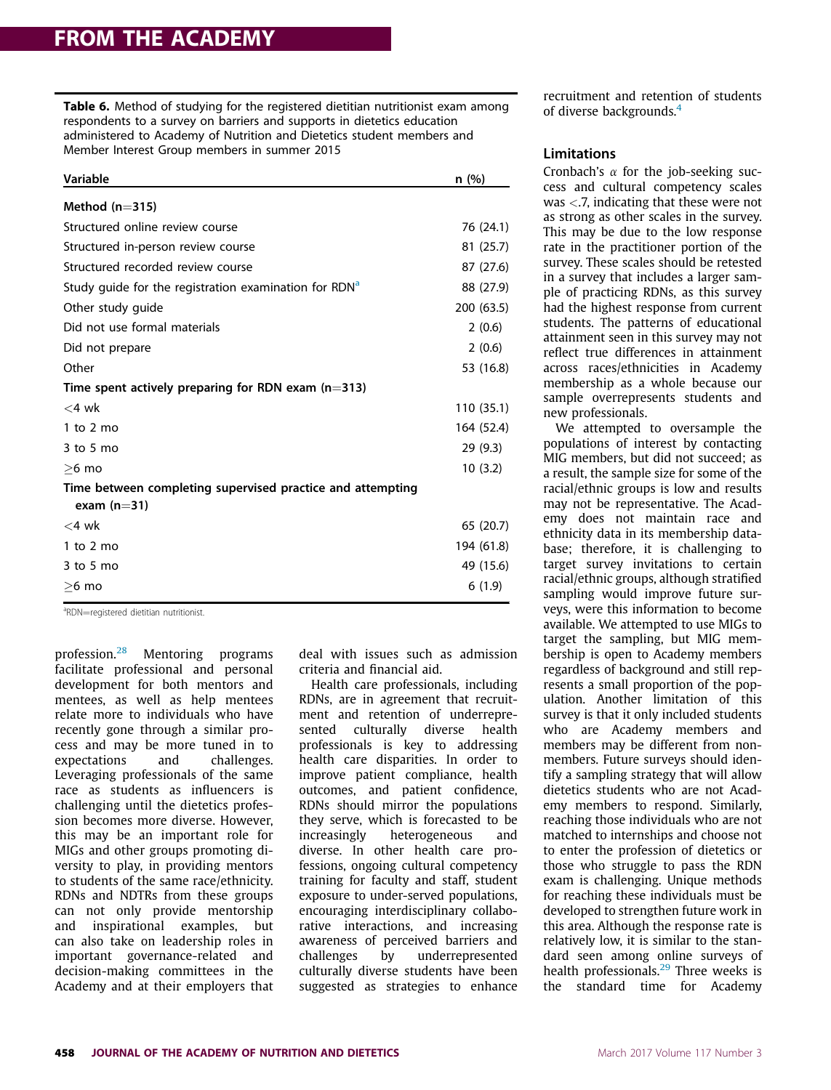<span id="page-9-0"></span>Table 6. Method of studying for the registered dietitian nutritionist exam among respondents to a survey on barriers and supports in dietetics education administered to Academy of Nutrition and Dietetics student members and Member Interest Group members in summer 2015

| Variable                                                                    | n (%)      |
|-----------------------------------------------------------------------------|------------|
| Method $(n=315)$                                                            |            |
| Structured online review course                                             | 76 (24.1)  |
| Structured in-person review course                                          | 81 (25.7)  |
| Structured recorded review course                                           | 87 (27.6)  |
| Study quide for the registration examination for RDN <sup>a</sup>           | 88 (27.9)  |
| Other study guide                                                           | 200 (63.5) |
| Did not use formal materials                                                | 2(0.6)     |
| Did not prepare                                                             | 2(0.6)     |
| Other                                                                       | 53 (16.8)  |
| Time spent actively preparing for RDN exam $(n=313)$                        |            |
| $<$ 4 wk                                                                    | 110(35.1)  |
| $1$ to $2$ mo                                                               | 164 (52.4) |
| 3 to 5 mo                                                                   | 29(9.3)    |
| $>6$ mo                                                                     | 10(3.2)    |
| Time between completing supervised practice and attempting<br>exam $(n=31)$ |            |
| $<$ 4 wk                                                                    | 65 (20.7)  |
| $1$ to $2$ mo                                                               | 194 (61.8) |
| $3$ to 5 mo                                                                 | 49 (15.6)  |
| $>6$ mo                                                                     | 6(1.9)     |

<sup>a</sup>RDN=registered dietitian nutritionist.

profession.[28](#page-19-0) Mentoring programs facilitate professional and personal development for both mentors and mentees, as well as help mentees relate more to individuals who have recently gone through a similar process and may be more tuned in to expectations and challenges. Leveraging professionals of the same race as students as influencers is challenging until the dietetics profession becomes more diverse. However, this may be an important role for MIGs and other groups promoting diversity to play, in providing mentors to students of the same race/ethnicity. RDNs and NDTRs from these groups can not only provide mentorship and inspirational examples, but can also take on leadership roles in important governance-related and decision-making committees in the Academy and at their employers that deal with issues such as admission criteria and financial aid.

Health care professionals, including RDNs, are in agreement that recruitment and retention of underrepresented culturally diverse health professionals is key to addressing health care disparities. In order to improve patient compliance, health outcomes, and patient confidence, RDNs should mirror the populations they serve, which is forecasted to be increasingly heterogeneous and diverse. In other health care professions, ongoing cultural competency training for faculty and staff, student exposure to under-served populations, encouraging interdisciplinary collaborative interactions, and increasing awareness of perceived barriers and challenges by underrepresented culturally diverse students have been suggested as strategies to enhance recruitment and retention of students of diverse backgrounds.[4](#page-18-0)

#### Limitations

Cronbach's  $\alpha$  for the job-seeking success and cultural competency scales was <.7, indicating that these were not as strong as other scales in the survey. This may be due to the low response rate in the practitioner portion of the survey. These scales should be retested in a survey that includes a larger sample of practicing RDNs, as this survey had the highest response from current students. The patterns of educational attainment seen in this survey may not reflect true differences in attainment across races/ethnicities in Academy membership as a whole because our sample overrepresents students and new professionals.

We attempted to oversample the populations of interest by contacting MIG members, but did not succeed; as a result, the sample size for some of the racial/ethnic groups is low and results may not be representative. The Academy does not maintain race and ethnicity data in its membership database; therefore, it is challenging to target survey invitations to certain racial/ethnic groups, although stratified sampling would improve future surveys, were this information to become available. We attempted to use MIGs to target the sampling, but MIG membership is open to Academy members regardless of background and still represents a small proportion of the population. Another limitation of this survey is that it only included students who are Academy members and members may be different from nonmembers. Future surveys should identify a sampling strategy that will allow dietetics students who are not Academy members to respond. Similarly, reaching those individuals who are not matched to internships and choose not to enter the profession of dietetics or those who struggle to pass the RDN exam is challenging. Unique methods for reaching these individuals must be developed to strengthen future work in this area. Although the response rate is relatively low, it is similar to the standard seen among online surveys of health professionals.<sup>[29](#page-19-0)</sup> Three weeks is the standard time for Academy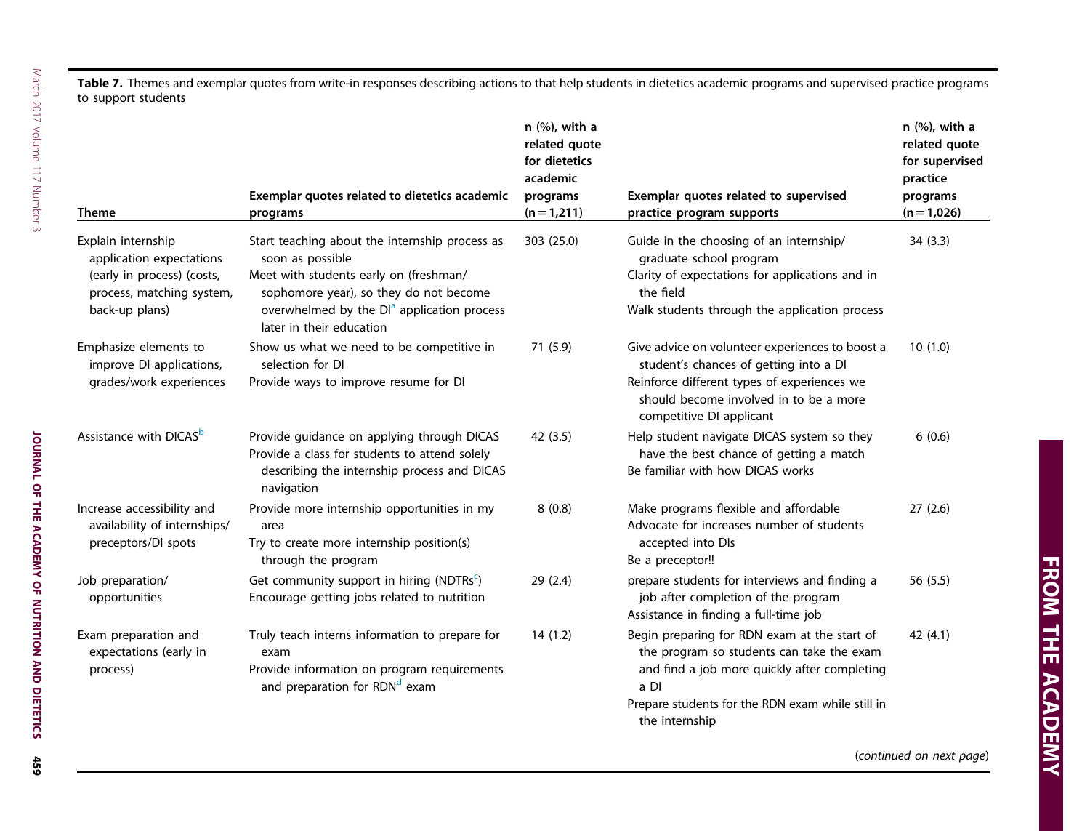<span id="page-10-0"></span>

| Table 7. Themes and exemplar quotes from write-in responses describing actions to that help students in dietetics academic programs and supervised practice programs |
|----------------------------------------------------------------------------------------------------------------------------------------------------------------------|
| to support students                                                                                                                                                  |

| <b>Theme</b>                                                                                                                | Exemplar quotes related to dietetics academic<br>programs                                                                                                                                                                                    | $n$ (%), with a<br>related quote<br>for dietetics<br>academic<br>programs<br>$(n=1,211)$ | Exemplar quotes related to supervised<br>practice program supports                                                                                                                                                      | $n$ (%), with a<br>related quote<br>for supervised<br>practice<br>programs<br>$(n=1,026)$ |
|-----------------------------------------------------------------------------------------------------------------------------|----------------------------------------------------------------------------------------------------------------------------------------------------------------------------------------------------------------------------------------------|------------------------------------------------------------------------------------------|-------------------------------------------------------------------------------------------------------------------------------------------------------------------------------------------------------------------------|-------------------------------------------------------------------------------------------|
| Explain internship<br>application expectations<br>(early in process) (costs,<br>process, matching system,<br>back-up plans) | Start teaching about the internship process as<br>soon as possible<br>Meet with students early on (freshman/<br>sophomore year), so they do not become<br>overwhelmed by the Dl <sup>a</sup> application process<br>later in their education | 303 (25.0)                                                                               | Guide in the choosing of an internship/<br>graduate school program<br>Clarity of expectations for applications and in<br>the field<br>Walk students through the application process                                     | 34(3.3)                                                                                   |
| Emphasize elements to<br>improve DI applications,<br>grades/work experiences                                                | Show us what we need to be competitive in<br>selection for DI<br>Provide ways to improve resume for DI                                                                                                                                       | 71 (5.9)                                                                                 | Give advice on volunteer experiences to boost a<br>student's chances of getting into a DI<br>Reinforce different types of experiences we<br>should become involved in to be a more<br>competitive DI applicant          | 10(1.0)                                                                                   |
| Assistance with DICAS <sup>b</sup>                                                                                          | Provide guidance on applying through DICAS<br>Provide a class for students to attend solely<br>describing the internship process and DICAS<br>navigation                                                                                     | 42 (3.5)                                                                                 | Help student navigate DICAS system so they<br>have the best chance of getting a match<br>Be familiar with how DICAS works                                                                                               | 6(0.6)                                                                                    |
| Increase accessibility and<br>availability of internships/<br>preceptors/DI spots                                           | Provide more internship opportunities in my<br>area<br>Try to create more internship position(s)<br>through the program                                                                                                                      | 8(0.8)                                                                                   | Make programs flexible and affordable<br>Advocate for increases number of students<br>accepted into DIs<br>Be a preceptor!!                                                                                             | 27(2.6)                                                                                   |
| Job preparation/<br>opportunities                                                                                           | Get community support in hiring (NDTRs <sup>c</sup> )<br>Encourage getting jobs related to nutrition                                                                                                                                         | 29(2.4)                                                                                  | prepare students for interviews and finding a<br>job after completion of the program<br>Assistance in finding a full-time job                                                                                           | 56 (5.5)                                                                                  |
| Exam preparation and<br>expectations (early in<br>process)                                                                  | Truly teach interns information to prepare for<br>exam<br>Provide information on program requirements<br>and preparation for RDN <sup>d</sup> exam                                                                                           | 14(1.2)                                                                                  | Begin preparing for RDN exam at the start of<br>the program so students can take the exam<br>and find a job more quickly after completing<br>a DI<br>Prepare students for the RDN exam while still in<br>the internship | 42(4.1)                                                                                   |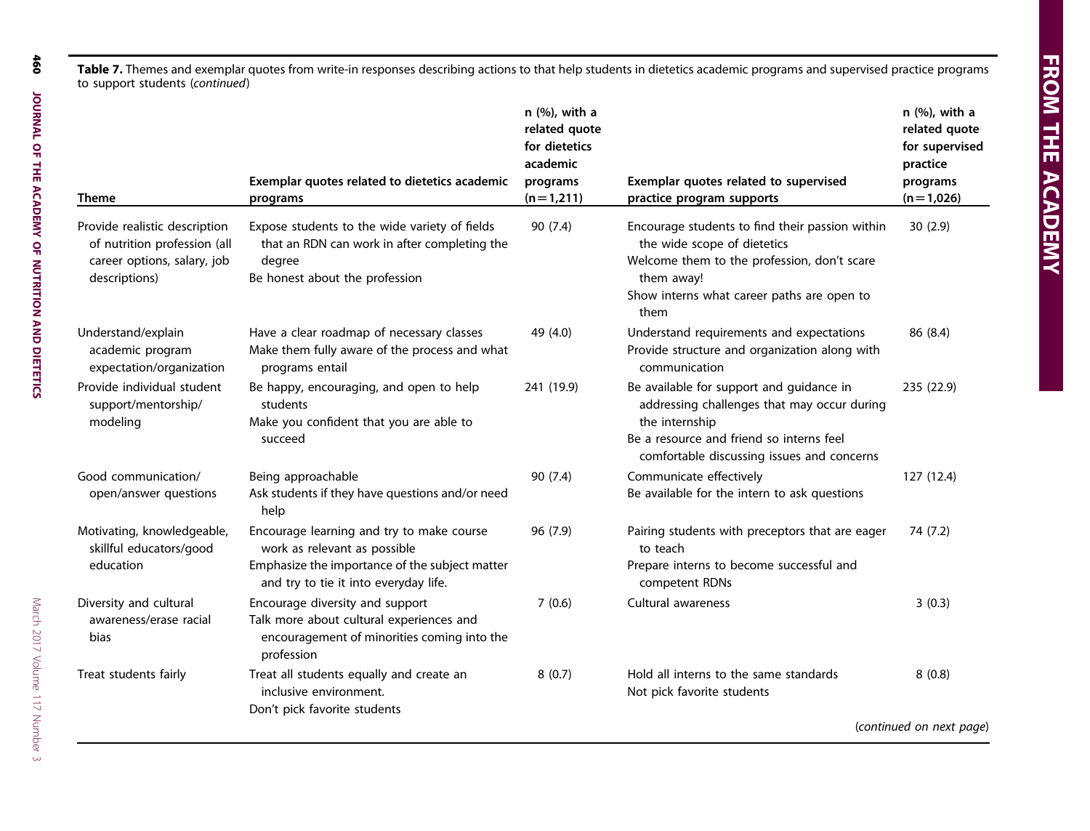**Table 7.** Themes and exemplar quotes from write-in responses describing actions to that help students in dietetics academic programs and supervised practice programs to support students (continued)

| <b>Theme</b>                                                                                                  | Exemplar quotes related to dietetics academic<br>programs                                                                                                            | $n$ (%), with a<br>related quote<br>for dietetics<br>academic<br>programs<br>$(n=1,211)$ | Exemplar quotes related to supervised<br>practice program supports                                                                                                                                  | $n$ (%), with a<br>related quote<br>for supervised<br>practice<br>programs<br>$(n=1,026)$ |
|---------------------------------------------------------------------------------------------------------------|----------------------------------------------------------------------------------------------------------------------------------------------------------------------|------------------------------------------------------------------------------------------|-----------------------------------------------------------------------------------------------------------------------------------------------------------------------------------------------------|-------------------------------------------------------------------------------------------|
| Provide realistic description<br>of nutrition profession (all<br>career options, salary, job<br>descriptions) | Expose students to the wide variety of fields<br>that an RDN can work in after completing the<br>degree<br>Be honest about the profession                            | 90 (7.4)                                                                                 | Encourage students to find their passion within<br>the wide scope of dietetics<br>Welcome them to the profession, don't scare<br>them away!<br>Show interns what career paths are open to<br>them   | 30(2.9)                                                                                   |
| Understand/explain<br>academic program<br>expectation/organization                                            | Have a clear roadmap of necessary classes<br>Make them fully aware of the process and what<br>programs entail                                                        | 49 (4.0)                                                                                 | Understand requirements and expectations<br>Provide structure and organization along with<br>communication                                                                                          | 86 (8.4)                                                                                  |
| Provide individual student<br>support/mentorship/<br>modeling                                                 | Be happy, encouraging, and open to help<br>students<br>Make you confident that you are able to<br>succeed                                                            | 241 (19.9)                                                                               | Be available for support and guidance in<br>addressing challenges that may occur during<br>the internship<br>Be a resource and friend so interns feel<br>comfortable discussing issues and concerns | 235 (22.9)                                                                                |
| Good communication/<br>open/answer questions                                                                  | Being approachable<br>Ask students if they have questions and/or need<br>help                                                                                        | 90 (7.4)                                                                                 | Communicate effectively<br>Be available for the intern to ask questions                                                                                                                             | 127 (12.4)                                                                                |
| Motivating, knowledgeable,<br>skillful educators/good<br>education                                            | Encourage learning and try to make course<br>work as relevant as possible<br>Emphasize the importance of the subject matter<br>and try to tie it into everyday life. | 96 (7.9)                                                                                 | Pairing students with preceptors that are eager<br>to teach<br>Prepare interns to become successful and<br>competent RDNs                                                                           | 74 (7.2)                                                                                  |
| Diversity and cultural<br>awareness/erase racial<br>bias                                                      | Encourage diversity and support<br>Talk more about cultural experiences and<br>encouragement of minorities coming into the<br>profession                             | 7(0.6)                                                                                   | Cultural awareness                                                                                                                                                                                  | 3(0.3)                                                                                    |
| Treat students fairly                                                                                         | Treat all students equally and create an<br>inclusive environment.<br>Don't pick favorite students                                                                   | 8(0.7)                                                                                   | Hold all interns to the same standards<br>Not pick favorite students                                                                                                                                | 8(0.8)                                                                                    |
|                                                                                                               |                                                                                                                                                                      |                                                                                          |                                                                                                                                                                                                     | (continued on next page                                                                   |

page)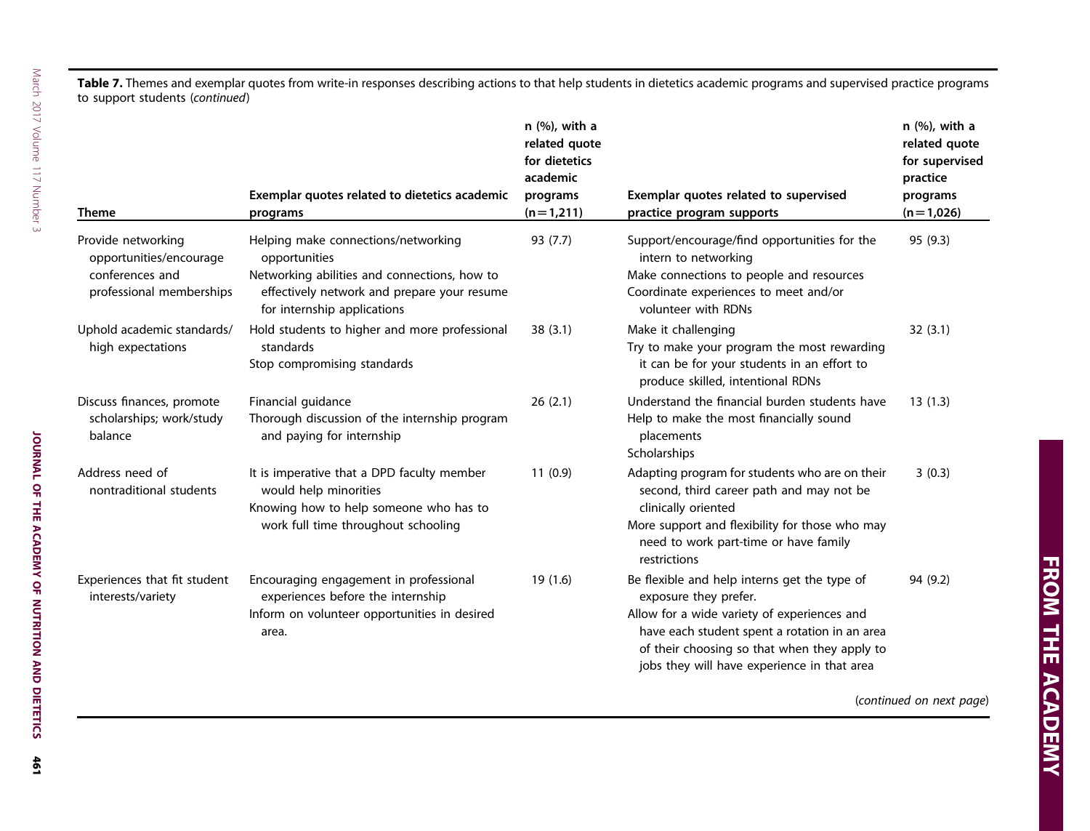**Table 7.** Themes and exemplar quotes from write-in responses describing actions to that help students in dietetics academic programs and supervised practice programs to support students (continued)

| <b>Theme</b>                                                                                 | Exemplar quotes related to dietetics academic<br>programs                                                                                                                          | $n$ (%), with a<br>related quote<br>for dietetics<br>academic<br>programs<br>$(n=1,211)$ | Exemplar quotes related to supervised<br>practice program supports                                                                                                                                                                                                   | $n$ (%), with a<br>related quote<br>for supervised<br>practice<br>programs<br>$(n=1,026)$ |
|----------------------------------------------------------------------------------------------|------------------------------------------------------------------------------------------------------------------------------------------------------------------------------------|------------------------------------------------------------------------------------------|----------------------------------------------------------------------------------------------------------------------------------------------------------------------------------------------------------------------------------------------------------------------|-------------------------------------------------------------------------------------------|
| Provide networking<br>opportunities/encourage<br>conferences and<br>professional memberships | Helping make connections/networking<br>opportunities<br>Networking abilities and connections, how to<br>effectively network and prepare your resume<br>for internship applications | 93 (7.7)                                                                                 | Support/encourage/find opportunities for the<br>intern to networking<br>Make connections to people and resources<br>Coordinate experiences to meet and/or<br>volunteer with RDNs                                                                                     | 95 (9.3)                                                                                  |
| Uphold academic standards/<br>high expectations                                              | Hold students to higher and more professional<br>standards<br>Stop compromising standards                                                                                          | 38(3.1)                                                                                  | Make it challenging<br>Try to make your program the most rewarding<br>it can be for your students in an effort to<br>produce skilled, intentional RDNs                                                                                                               | 32(3.1)                                                                                   |
| Discuss finances, promote<br>scholarships; work/study<br>balance                             | Financial guidance<br>Thorough discussion of the internship program<br>and paying for internship                                                                                   | 26(2.1)                                                                                  | Understand the financial burden students have<br>Help to make the most financially sound<br>placements<br>Scholarships                                                                                                                                               | 13(1.3)                                                                                   |
| Address need of<br>nontraditional students                                                   | It is imperative that a DPD faculty member<br>would help minorities<br>Knowing how to help someone who has to<br>work full time throughout schooling                               | 11(0.9)                                                                                  | Adapting program for students who are on their<br>second, third career path and may not be<br>clinically oriented<br>More support and flexibility for those who may<br>need to work part-time or have family<br>restrictions                                         | 3(0.3)                                                                                    |
| Experiences that fit student<br>interests/variety                                            | Encouraging engagement in professional<br>experiences before the internship<br>Inform on volunteer opportunities in desired<br>area.                                               | 19 (1.6)                                                                                 | Be flexible and help interns get the type of<br>exposure they prefer.<br>Allow for a wide variety of experiences and<br>have each student spent a rotation in an area<br>of their choosing so that when they apply to<br>jobs they will have experience in that area | 94 (9.2)                                                                                  |

(continued on next page)

FROM THE ACADEMY

FROM THE ACADEMY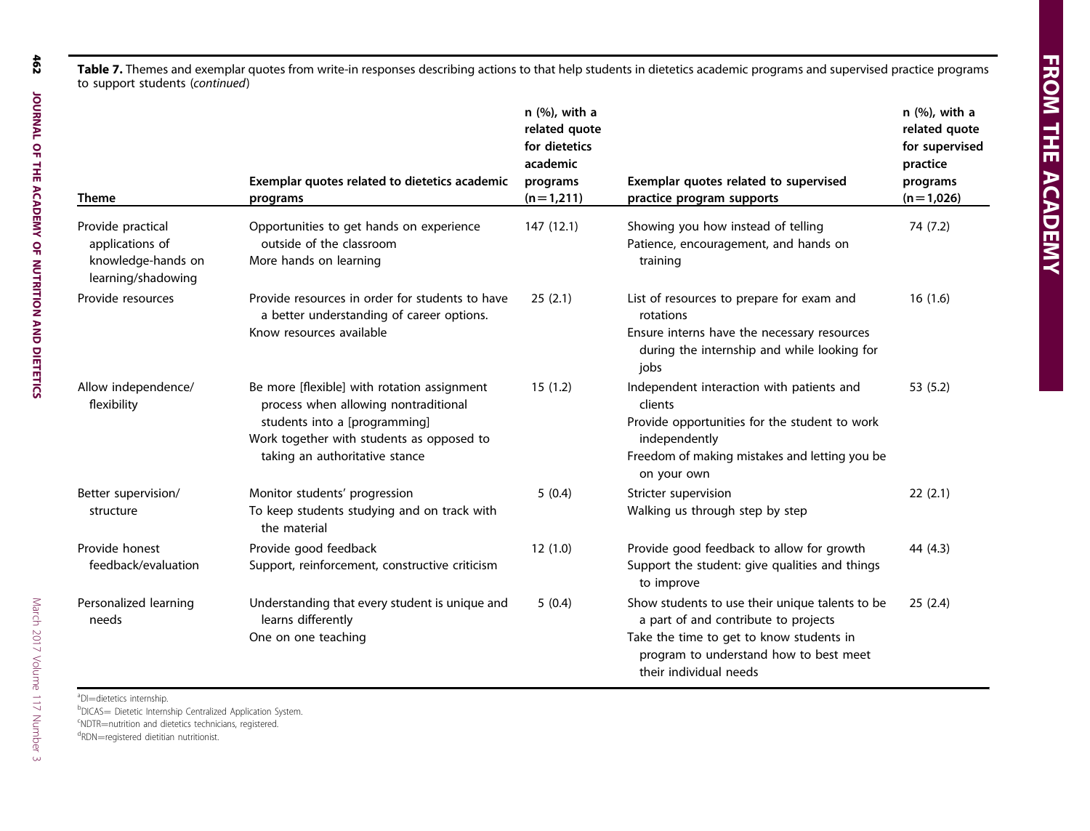FROM THE ACADEMY FROM THE ACADEMY

<span id="page-13-0"></span>**Table 7.** Themes and exemplar quotes from write-in responses describing actions to that help students in dietetics academic programs and supervised practice programs to support students (continued)

| Theme                                                                            | Exemplar quotes related to dietetics academic<br>programs                                                                                                                                           | $n$ (%), with a<br>related quote<br>for dietetics<br>academic<br>programs<br>$(n=1,211)$ | Exemplar quotes related to supervised<br>practice program supports                                                                                                                                      | $n$ (%), with a<br>related quote<br>for supervised<br>practice<br>programs<br>$(n=1,026)$ |
|----------------------------------------------------------------------------------|-----------------------------------------------------------------------------------------------------------------------------------------------------------------------------------------------------|------------------------------------------------------------------------------------------|---------------------------------------------------------------------------------------------------------------------------------------------------------------------------------------------------------|-------------------------------------------------------------------------------------------|
| Provide practical<br>applications of<br>knowledge-hands on<br>learning/shadowing | Opportunities to get hands on experience<br>outside of the classroom<br>More hands on learning                                                                                                      | 147(12.1)                                                                                | Showing you how instead of telling<br>Patience, encouragement, and hands on<br>training                                                                                                                 | 74 (7.2)                                                                                  |
| Provide resources                                                                | Provide resources in order for students to have<br>a better understanding of career options.<br>Know resources available                                                                            | 25(2.1)                                                                                  | List of resources to prepare for exam and<br>rotations<br>Ensure interns have the necessary resources<br>during the internship and while looking for<br>jobs                                            | 16(1.6)                                                                                   |
| Allow independence/<br>flexibility                                               | Be more [flexible] with rotation assignment<br>process when allowing nontraditional<br>students into a [programming]<br>Work together with students as opposed to<br>taking an authoritative stance | 15(1.2)                                                                                  | Independent interaction with patients and<br>clients<br>Provide opportunities for the student to work<br>independently<br>Freedom of making mistakes and letting you be<br>on your own                  | 53 (5.2)                                                                                  |
| Better supervision/<br>structure                                                 | Monitor students' progression<br>To keep students studying and on track with<br>the material                                                                                                        | 5(0.4)                                                                                   | Stricter supervision<br>Walking us through step by step                                                                                                                                                 | 22(2.1)                                                                                   |
| Provide honest<br>feedback/evaluation                                            | Provide good feedback<br>Support, reinforcement, constructive criticism                                                                                                                             | 12(1.0)                                                                                  | Provide good feedback to allow for growth<br>Support the student: give qualities and things<br>to improve                                                                                               | 44 (4.3)                                                                                  |
| Personalized learning<br>needs                                                   | Understanding that every student is unique and<br>learns differently<br>One on one teaching                                                                                                         | 5(0.4)                                                                                   | Show students to use their unique talents to be<br>a part of and contribute to projects<br>Take the time to get to know students in<br>program to understand how to best meet<br>their individual needs | 25(2.4)                                                                                   |

<sup>a</sup>DI=dietetics internship.

<sup>b</sup>DICAS= Dietetic Internship Centralized Application System.

<sup>c</sup>NDTR=nutrition and dietetics technicians, registered.

dRDN <sup>¼</sup>registered dietitian nutritionist.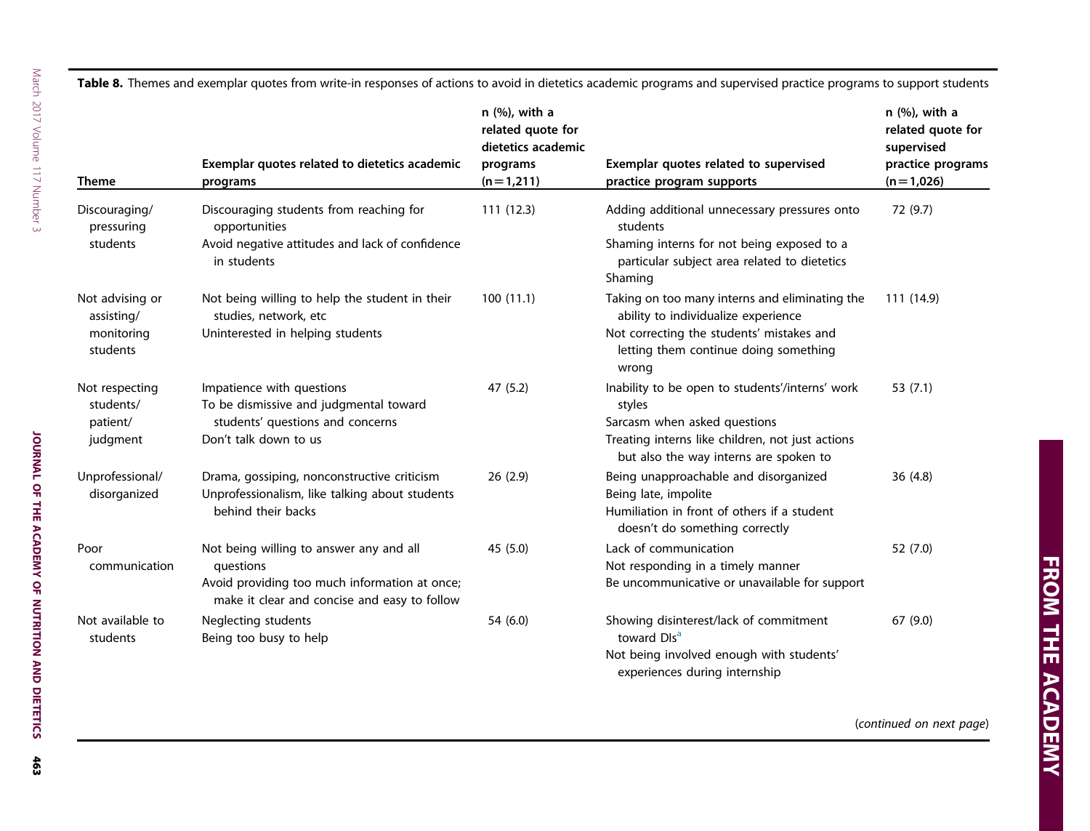| <b>Theme</b>                                            | Exemplar quotes related to dietetics academic<br>programs                                                                                             | $n$ (%), with a<br>related quote for<br>dietetics academic<br>programs<br>$(n=1,211)$ | Exemplar quotes related to supervised<br>practice program supports                                                                                                                      | $n$ (%), with a<br>related quote for<br>supervised<br>practice programs<br>$(n=1,026)$ |
|---------------------------------------------------------|-------------------------------------------------------------------------------------------------------------------------------------------------------|---------------------------------------------------------------------------------------|-----------------------------------------------------------------------------------------------------------------------------------------------------------------------------------------|----------------------------------------------------------------------------------------|
| Discouraging/<br>pressuring<br>students                 | Discouraging students from reaching for<br>opportunities<br>Avoid negative attitudes and lack of confidence<br>in students                            | 111(12.3)                                                                             | Adding additional unnecessary pressures onto<br>students<br>Shaming interns for not being exposed to a<br>particular subject area related to dietetics<br>Shaming                       | 72 (9.7)                                                                               |
| Not advising or<br>assisting/<br>monitoring<br>students | Not being willing to help the student in their<br>studies, network, etc<br>Uninterested in helping students                                           | 100(11.1)                                                                             | Taking on too many interns and eliminating the<br>ability to individualize experience<br>Not correcting the students' mistakes and<br>letting them continue doing something<br>wrong    | 111 (14.9)                                                                             |
| Not respecting<br>students/<br>patient/<br>judgment     | Impatience with questions<br>To be dismissive and judgmental toward<br>students' questions and concerns<br>Don't talk down to us                      | 47 (5.2)                                                                              | Inability to be open to students'/interns' work<br>styles<br>Sarcasm when asked questions<br>Treating interns like children, not just actions<br>but also the way interns are spoken to | 53(7.1)                                                                                |
| Unprofessional/<br>disorganized                         | Drama, gossiping, nonconstructive criticism<br>Unprofessionalism, like talking about students<br>behind their backs                                   | 26(2.9)                                                                               | Being unapproachable and disorganized<br>Being late, impolite<br>Humiliation in front of others if a student<br>doesn't do something correctly                                          | 36(4.8)                                                                                |
| Poor<br>communication                                   | Not being willing to answer any and all<br>questions<br>Avoid providing too much information at once;<br>make it clear and concise and easy to follow | 45 (5.0)                                                                              | Lack of communication<br>Not responding in a timely manner<br>Be uncommunicative or unavailable for support                                                                             | 52 (7.0)                                                                               |
| Not available to<br>students                            | Neglecting students<br>Being too busy to help                                                                                                         | 54 (6.0)                                                                              | Showing disinterest/lack of commitment<br>toward DIs <sup>a</sup><br>Not being involved enough with students'<br>experiences during internship                                          | 67 (9.0)                                                                               |

<span id="page-14-0"></span>**Table 8.** Themes and exemplar quotes from write-in responses of actions to avoid in dietetics academic programs and supervised practice programs to support students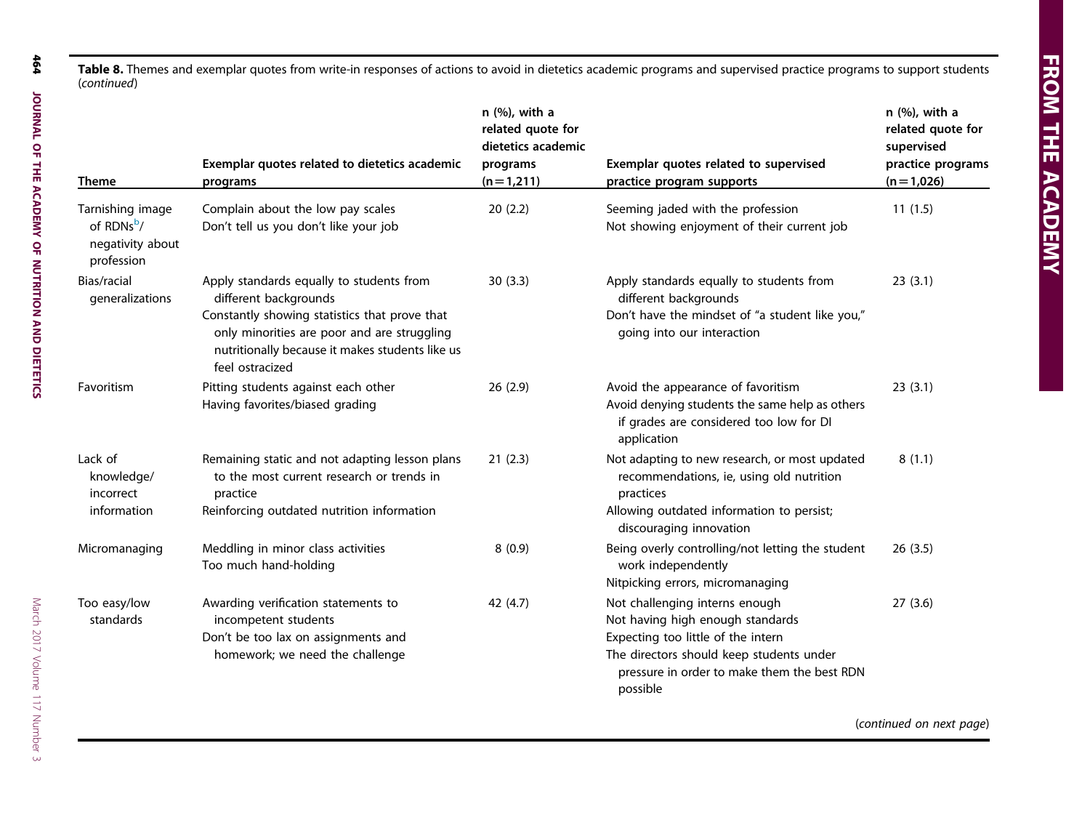Table 8. Themes and exemplar quotes from write-in responses of actions to avoid in dietetics academic programs and supervised practice programs to support students (continued)

| <b>Theme</b>                                                                 | Exemplar quotes related to dietetics academic<br>programs                                                                                                                                                                               | n (%), with a<br>related quote for<br>dietetics academic<br>programs<br>$(n=1,211)$ | Exemplar quotes related to supervised<br>practice program supports                                                                                                                                              | $n$ (%), with a<br>related quote for<br>supervised<br>practice programs<br>$(n=1,026)$ |
|------------------------------------------------------------------------------|-----------------------------------------------------------------------------------------------------------------------------------------------------------------------------------------------------------------------------------------|-------------------------------------------------------------------------------------|-----------------------------------------------------------------------------------------------------------------------------------------------------------------------------------------------------------------|----------------------------------------------------------------------------------------|
| Tarnishing image<br>of RDNs <sup>b</sup> /<br>negativity about<br>profession | Complain about the low pay scales<br>Don't tell us you don't like your job                                                                                                                                                              | 20(2.2)                                                                             | Seeming jaded with the profession<br>Not showing enjoyment of their current job                                                                                                                                 | 11(1.5)                                                                                |
| Bias/racial<br>generalizations                                               | Apply standards equally to students from<br>different backgrounds<br>Constantly showing statistics that prove that<br>only minorities are poor and are struggling<br>nutritionally because it makes students like us<br>feel ostracized | 30(3.3)                                                                             | Apply standards equally to students from<br>different backgrounds<br>Don't have the mindset of "a student like you,"<br>going into our interaction                                                              | 23(3.1)                                                                                |
| Favoritism                                                                   | Pitting students against each other<br>Having favorites/biased grading                                                                                                                                                                  | 26(2.9)                                                                             | Avoid the appearance of favoritism<br>Avoid denying students the same help as others<br>if grades are considered too low for DI<br>application                                                                  | 23(3.1)                                                                                |
| Lack of<br>knowledge/<br>incorrect<br>information                            | Remaining static and not adapting lesson plans<br>to the most current research or trends in<br>practice<br>Reinforcing outdated nutrition information                                                                                   | 21(2.3)                                                                             | Not adapting to new research, or most updated<br>recommendations, ie, using old nutrition<br>practices<br>Allowing outdated information to persist;<br>discouraging innovation                                  | 8(1.1)                                                                                 |
| Micromanaging                                                                | Meddling in minor class activities<br>Too much hand-holding                                                                                                                                                                             | 8(0.9)                                                                              | Being overly controlling/not letting the student<br>work independently<br>Nitpicking errors, micromanaging                                                                                                      | 26(3.5)                                                                                |
| Too easy/low<br>standards                                                    | Awarding verification statements to<br>incompetent students<br>Don't be too lax on assignments and<br>homework; we need the challenge                                                                                                   | 42 (4.7)                                                                            | Not challenging interns enough<br>Not having high enough standards<br>Expecting too little of the intern<br>The directors should keep students under<br>pressure in order to make them the best RDN<br>possible | 27(3.6)                                                                                |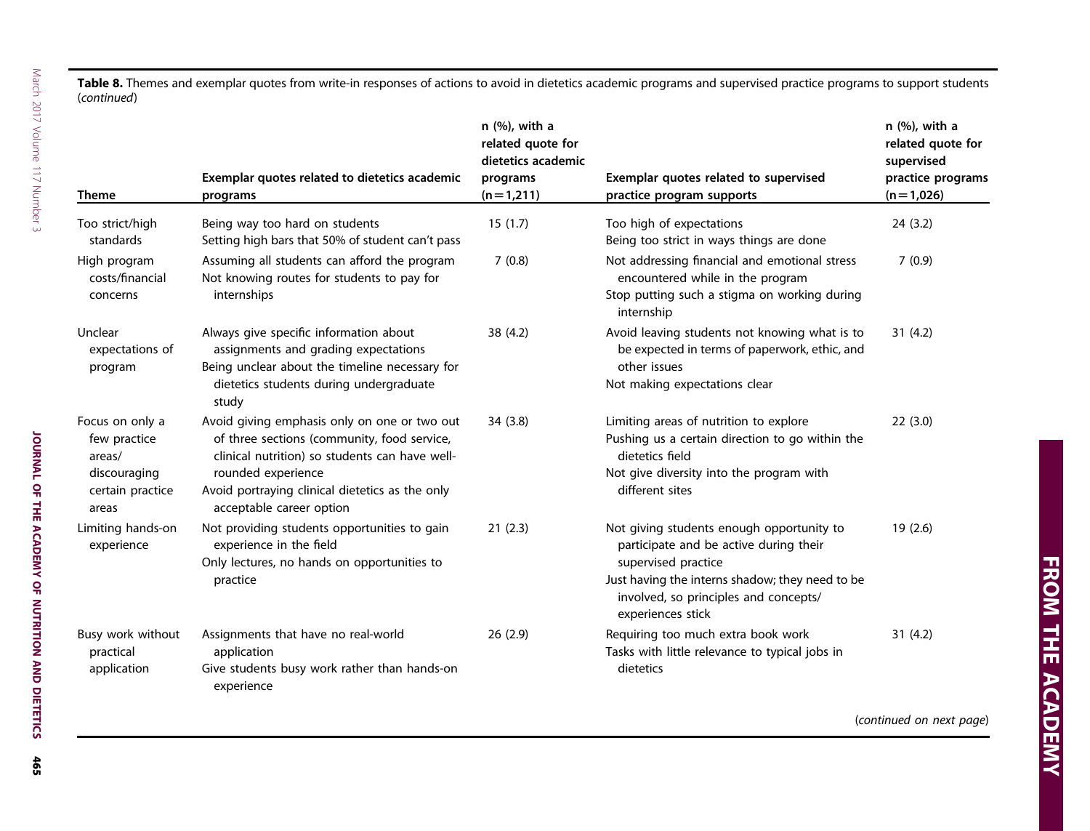| <b>Theme</b>                                                                           | Exemplar quotes related to dietetics academic<br>programs                                                                                                                                                                                          | $n$ (%), with a<br>related quote for<br>dietetics academic<br>programs<br>$(n=1,211)$ | Exemplar quotes related to supervised<br>practice program supports                                                                                                                                                          | $n$ (%), with a<br>related quote for<br>supervised<br>practice programs<br>$(n=1,026)$ |
|----------------------------------------------------------------------------------------|----------------------------------------------------------------------------------------------------------------------------------------------------------------------------------------------------------------------------------------------------|---------------------------------------------------------------------------------------|-----------------------------------------------------------------------------------------------------------------------------------------------------------------------------------------------------------------------------|----------------------------------------------------------------------------------------|
| Too strict/high<br>standards                                                           | Being way too hard on students<br>Setting high bars that 50% of student can't pass                                                                                                                                                                 | 15(1.7)                                                                               | Too high of expectations<br>Being too strict in ways things are done                                                                                                                                                        | 24(3.2)                                                                                |
| High program<br>costs/financial<br>concerns                                            | Assuming all students can afford the program<br>Not knowing routes for students to pay for<br>internships                                                                                                                                          | 7(0.8)                                                                                | Not addressing financial and emotional stress<br>encountered while in the program<br>Stop putting such a stigma on working during<br>internship                                                                             | 7(0.9)                                                                                 |
| Unclear<br>expectations of<br>program                                                  | Always give specific information about<br>assignments and grading expectations<br>Being unclear about the timeline necessary for<br>dietetics students during undergraduate<br>study                                                               | 38 (4.2)                                                                              | Avoid leaving students not knowing what is to<br>be expected in terms of paperwork, ethic, and<br>other issues<br>Not making expectations clear                                                                             | 31(4.2)                                                                                |
| Focus on only a<br>few practice<br>areas/<br>discouraging<br>certain practice<br>areas | Avoid giving emphasis only on one or two out<br>of three sections (community, food service,<br>clinical nutrition) so students can have well-<br>rounded experience<br>Avoid portraying clinical dietetics as the only<br>acceptable career option | 34 (3.8)                                                                              | Limiting areas of nutrition to explore<br>Pushing us a certain direction to go within the<br>dietetics field<br>Not give diversity into the program with<br>different sites                                                 | 22(3.0)                                                                                |
| Limiting hands-on<br>experience                                                        | Not providing students opportunities to gain<br>experience in the field<br>Only lectures, no hands on opportunities to<br>practice                                                                                                                 | 21(2.3)                                                                               | Not giving students enough opportunity to<br>participate and be active during their<br>supervised practice<br>Just having the interns shadow; they need to be<br>involved, so principles and concepts/<br>experiences stick | 19(2.6)                                                                                |
| Busy work without<br>practical<br>application                                          | Assignments that have no real-world<br>application<br>Give students busy work rather than hands-on<br>experience                                                                                                                                   | 26(2.9)                                                                               | Requiring too much extra book work<br>Tasks with little relevance to typical jobs in<br>dietetics                                                                                                                           | 31(4.2)                                                                                |

Table 8. Themes and exemplar quotes from write-in responses of actions to avoid in dietetics academic programs and supervised practice programs to support students (continued)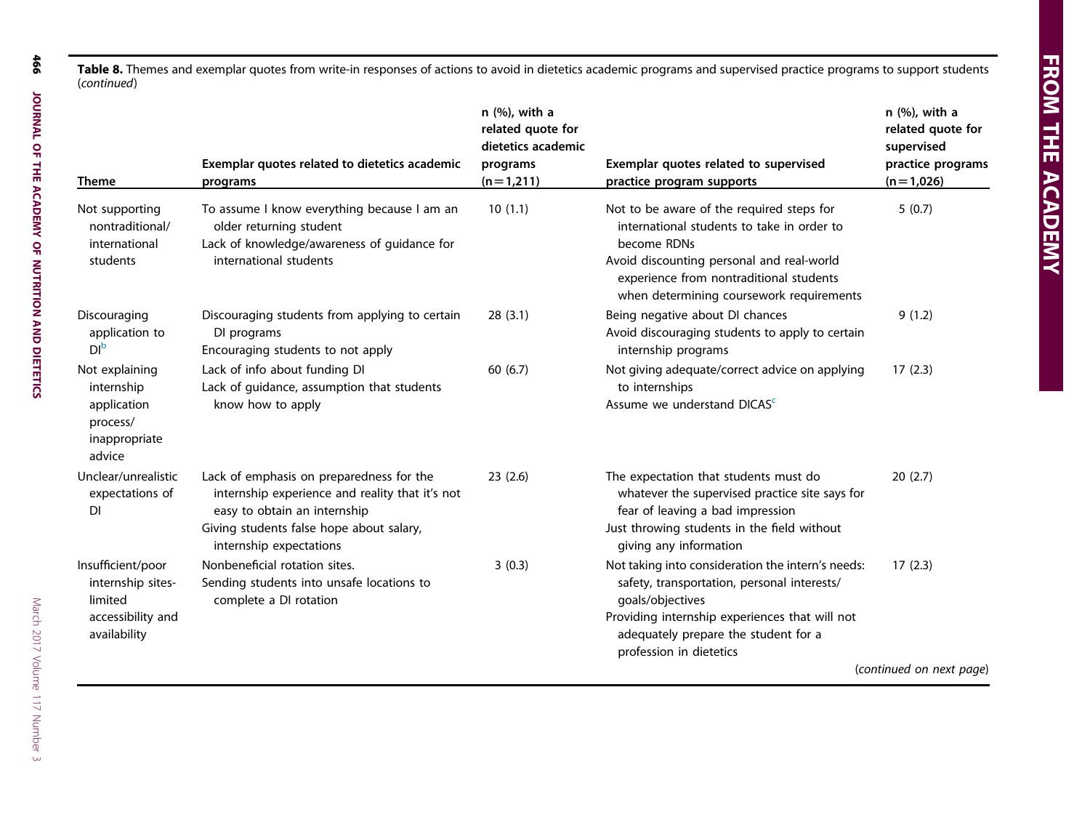Table 8. Themes and exemplar quotes from write-in responses of actions to avoid in dietetics academic programs and supervised practice programs to support students (continued)

| <b>Theme</b>                                                                           | Exemplar quotes related to dietetics academic<br>programs                                                                                                                                          | $n$ (%), with a<br>related quote for<br>dietetics academic<br>programs<br>$(n=1,211)$ | Exemplar quotes related to supervised<br>practice program supports                                                                                                                                                                         | $n$ (%), with a<br>related quote for<br>supervised<br>practice programs<br>$(n=1,026)$ |
|----------------------------------------------------------------------------------------|----------------------------------------------------------------------------------------------------------------------------------------------------------------------------------------------------|---------------------------------------------------------------------------------------|--------------------------------------------------------------------------------------------------------------------------------------------------------------------------------------------------------------------------------------------|----------------------------------------------------------------------------------------|
| Not supporting<br>nontraditional/<br>international<br>students                         | To assume I know everything because I am an<br>older returning student<br>Lack of knowledge/awareness of guidance for<br>international students                                                    | 10(1.1)                                                                               | Not to be aware of the required steps for<br>international students to take in order to<br>become RDNs<br>Avoid discounting personal and real-world<br>experience from nontraditional students<br>when determining coursework requirements | 5(0.7)                                                                                 |
| Discouraging<br>application to<br>DI <sup>b</sup>                                      | Discouraging students from applying to certain<br>DI programs<br>Encouraging students to not apply                                                                                                 | 28(3.1)                                                                               | Being negative about DI chances<br>Avoid discouraging students to apply to certain<br>internship programs                                                                                                                                  | 9(1.2)                                                                                 |
| Not explaining<br>internship<br>application<br>process/<br>inappropriate<br>advice     | Lack of info about funding DI<br>Lack of guidance, assumption that students<br>know how to apply                                                                                                   | 60(6.7)                                                                               | Not giving adequate/correct advice on applying<br>to internships<br>Assume we understand DICAS <sup>c</sup>                                                                                                                                | 17(2.3)                                                                                |
| Unclear/unrealistic<br>expectations of<br><b>DI</b>                                    | Lack of emphasis on preparedness for the<br>internship experience and reality that it's not<br>easy to obtain an internship<br>Giving students false hope about salary,<br>internship expectations | 23(2.6)                                                                               | The expectation that students must do<br>whatever the supervised practice site says for<br>fear of leaving a bad impression<br>Just throwing students in the field without<br>giving any information                                       | 20(2.7)                                                                                |
| Insufficient/poor<br>internship sites-<br>limited<br>accessibility and<br>availability | Nonbeneficial rotation sites.<br>Sending students into unsafe locations to<br>complete a DI rotation                                                                                               | 3(0.3)                                                                                | Not taking into consideration the intern's needs:<br>safety, transportation, personal interests/<br>goals/objectives<br>Providing internship experiences that will not<br>adequately prepare the student for a<br>profession in dietetics  | 17(2.3)<br>(continued on next page)                                                    |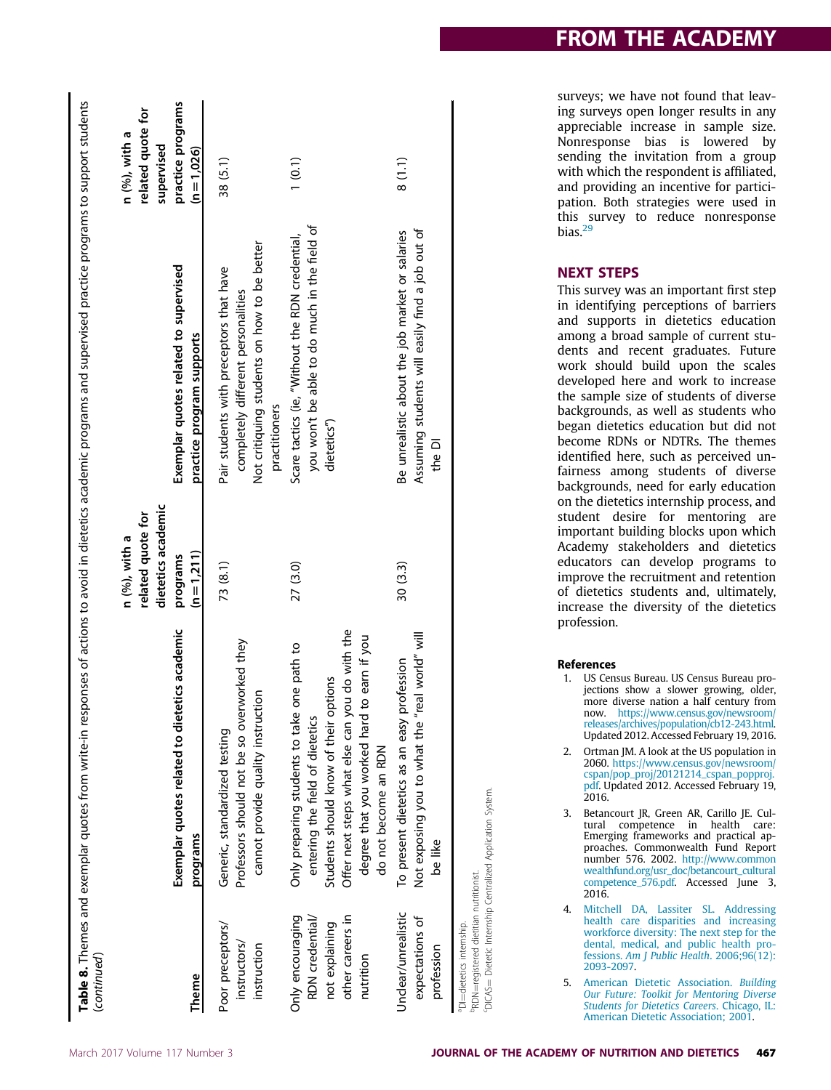| cannot provide quality instruction<br>Generic, standardized testing<br>programs<br>Poor preceptors/<br>instructors/<br>instruction<br>Theme                                                                             | Exemplar quotes related to dietetics academic                                                                    |                         |                                                                                                                                               | related quote for<br>supervised    |
|-------------------------------------------------------------------------------------------------------------------------------------------------------------------------------------------------------------------------|------------------------------------------------------------------------------------------------------------------|-------------------------|-----------------------------------------------------------------------------------------------------------------------------------------------|------------------------------------|
|                                                                                                                                                                                                                         |                                                                                                                  | $(n=1,211)$<br>programs | Exemplar quotes related to supervised<br>practice program supports                                                                            | practice programs<br>$(n = 1,026)$ |
|                                                                                                                                                                                                                         | Professors should not be so overworked they                                                                      | 73 (8.1)                | Not critiquing students on how to be better<br>Pair students with preceptors that have<br>completely different personalities<br>practitioners | 38 (5.1)                           |
| Students should know of their options<br>entering the field of dietetics<br>Offer next steps what else<br>do not become an RDN<br>other careers in<br>Only encouraging<br>RDN credential<br>not explaining<br>nutrition | can you do with the<br>degree that you worked hard to earn if you<br>Only preparing students to take one path to | 27 (3.0)                | you won't be able to do much in the field of<br>Scare tactics (ie, "Without the RDN credential,<br>dietetics")                                | (0.1)                              |
| Not exposing you to what<br>To present dietetics as an<br>be like<br>Unclear/unrealistic<br>expectations of<br>profession                                                                                               | the "real world" will<br>easy profession                                                                         | 30 (3.3)                | Assuming students will easily find a job out of<br>Be unrealistic about the job market or salaries<br>the DI                                  | 8(1.1)                             |

PRDN=registered dietitian nutritionist. ?RDN=registered dietitian nutritionist.<br><sup>-</sup>DICAS= Dietetic Internship Centralize DICAS= Dietetic Internship Centralized Application System. Dietetic Internship Centralized Application System. surveys; we have not found that leav-

FROM THE ACADEMY

ing surveys open longer results in any appreciable increase in sample size. Nonresponse bias is lowered by sending the invitation from a group with which the respondent is affiliated, and providing an incentive for participation. Both strategies were used in this survey to reduce nonresponse bias.<sup>[29](#page-19-0)</sup>

## NEXT STEPS

This survey was an important first step in identifying perceptions of barriers and supports in dietetics education among a broad sample of current students and recent graduates. Future work should build upon the scales developed here and work to increase the sample size of students of diverse backgrounds, as well as students who began dietetics education but did not become RDNs or NDTRs. The themes identified here, such as perceived unfairness among students of diverse backgrounds, need for early education on the dietetics internship process, and student desire for mentoring are important building blocks upon which Academy stakeholders and dietetics educators can develop programs to improve the recruitment and retention of dietetics students and, ultimately, increase the diversity of the dietetics profession.

## References

- 1. US Census Bureau. US Census Bureau projections show a slower growing, older, more diverse nation a half century from now. [https://www.census.gov/newsroom/](https://www.census.gov/newsroom/releases/archives/population/cb12-243.html) [releases/archives/population/cb12-243.html](https://www.census.gov/newsroom/releases/archives/population/cb12-243.html). Updated 2012. Accessed February 19, 2016.
- 2. Ortman JM. A look at the US population in 2060. [https://www.census.gov/newsroom/](https://www.census.gov/newsroom/cspan/pop_proj/20121214_cspan_popproj.pdf) [cspan/pop\\_proj/20121214\\_cspan\\_popproj.](https://www.census.gov/newsroom/cspan/pop_proj/20121214_cspan_popproj.pdf) [pdf.](https://www.census.gov/newsroom/cspan/pop_proj/20121214_cspan_popproj.pdf) Updated 2012. Accessed February 19, 2016.
- 3. Betancourt JR, Green AR, Carillo JE. Cultural competence in health care: Emerging frameworks and practical approaches. Commonwealth Fund Report number 576. 2002. [http://www.common](http://www.commonwealthfund.org/usr_doc/betancourt_culturalcompetence_576.pdf) [wealthfund.org/usr\\_doc/betancourt\\_cultural](http://www.commonwealthfund.org/usr_doc/betancourt_culturalcompetence_576.pdf) [competence\\_576.pdf](http://www.commonwealthfund.org/usr_doc/betancourt_culturalcompetence_576.pdf). Accessed June 3, 2016.
- 4. [Mitchell DA, Lassiter SL. Addressing](http://refhub.elsevier.com/S2212-2672(16)30419-1/sref4) [health care disparities and increasing](http://refhub.elsevier.com/S2212-2672(16)30419-1/sref4) [workforce diversity: The next step for the](http://refhub.elsevier.com/S2212-2672(16)30419-1/sref4) [dental, medical, and public health pro-](http://refhub.elsevier.com/S2212-2672(16)30419-1/sref4)fessions. [Am J Public Health](http://refhub.elsevier.com/S2212-2672(16)30419-1/sref4). 2006;96(12): [2093-2097.](http://refhub.elsevier.com/S2212-2672(16)30419-1/sref4)
- 5. [American Dietetic Association.](http://refhub.elsevier.com/S2212-2672(16)30419-1/sref5) Building [Our Future: Toolkit for Mentoring Diverse](http://refhub.elsevier.com/S2212-2672(16)30419-1/sref5) [Students for Dietetics Careers](http://refhub.elsevier.com/S2212-2672(16)30419-1/sref5). Chicago, IL: [American Dietetic Association; 2001](http://refhub.elsevier.com/S2212-2672(16)30419-1/sref5).

Table 8. Themes and exemplar quotes from write-in responses of actions to avoid in dietetics academic programs and supervised practice programs to support students

<span id="page-18-0"></span>Table 8. Themes and exemplar quotes from write-in responses of actions to avoid in dietetics academic programs and supervised practice programs to support students